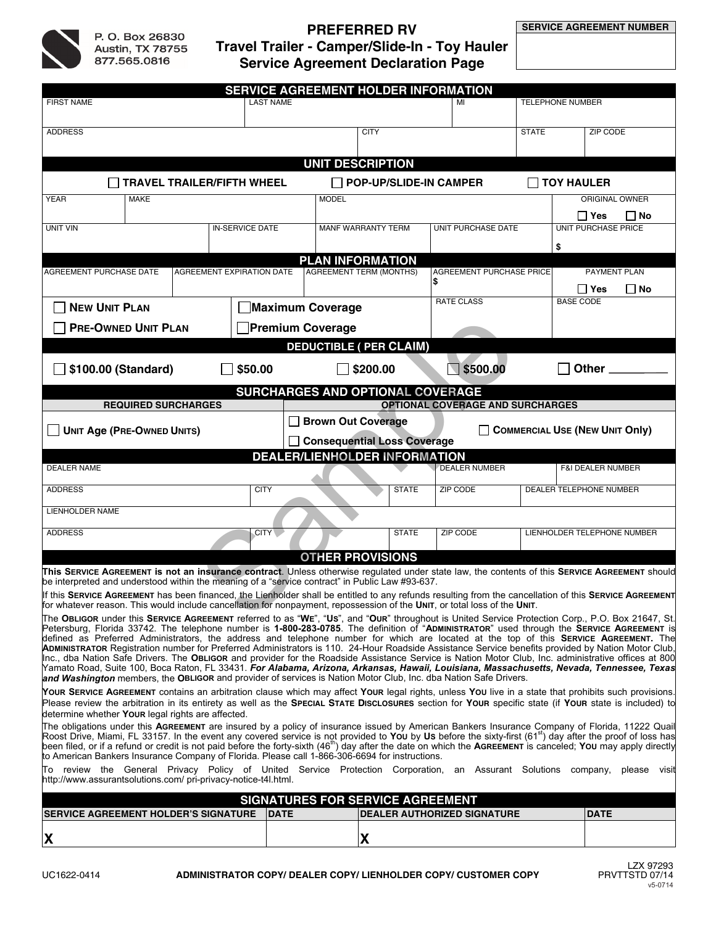

# **PREFERRED RV Travel Trailer - Camper/Slide-In - Toy Hauler Service Agreement Declaration Page**

| SERVICE AGREEMENT HOLDER INFORMATION                                                                                                                                                                                                                                                                                                                                                                                                                                                                                                                                                                                                                                                                                                                                                                                                                                     |                           |                           |                                                                    |                         |                                                                             |                                                       |                                     |              |
|--------------------------------------------------------------------------------------------------------------------------------------------------------------------------------------------------------------------------------------------------------------------------------------------------------------------------------------------------------------------------------------------------------------------------------------------------------------------------------------------------------------------------------------------------------------------------------------------------------------------------------------------------------------------------------------------------------------------------------------------------------------------------------------------------------------------------------------------------------------------------|---------------------------|---------------------------|--------------------------------------------------------------------|-------------------------|-----------------------------------------------------------------------------|-------------------------------------------------------|-------------------------------------|--------------|
| <b>FIRST NAME</b>                                                                                                                                                                                                                                                                                                                                                                                                                                                                                                                                                                                                                                                                                                                                                                                                                                                        | <b>LAST NAME</b>          |                           | MI                                                                 | <b>TELEPHONE NUMBER</b> |                                                                             |                                                       |                                     |              |
| <b>ADDRESS</b>                                                                                                                                                                                                                                                                                                                                                                                                                                                                                                                                                                                                                                                                                                                                                                                                                                                           |                           |                           | <b>CITY</b>                                                        |                         |                                                                             | <b>STATE</b>                                          | ZIP CODE                            |              |
|                                                                                                                                                                                                                                                                                                                                                                                                                                                                                                                                                                                                                                                                                                                                                                                                                                                                          |                           |                           |                                                                    |                         |                                                                             |                                                       |                                     |              |
| <b>UNIT DESCRIPTION</b>                                                                                                                                                                                                                                                                                                                                                                                                                                                                                                                                                                                                                                                                                                                                                                                                                                                  |                           |                           |                                                                    |                         |                                                                             |                                                       |                                     |              |
| <b>TRAVEL TRAILER/FIFTH WHEEL</b>                                                                                                                                                                                                                                                                                                                                                                                                                                                                                                                                                                                                                                                                                                                                                                                                                                        |                           |                           |                                                                    |                         | <b>POP-UP/SLIDE-IN CAMPER</b><br><b>TOY HAULER</b><br><b>ORIGINAL OWNER</b> |                                                       |                                     |              |
| YEAR<br><b>MAKE</b>                                                                                                                                                                                                                                                                                                                                                                                                                                                                                                                                                                                                                                                                                                                                                                                                                                                      |                           |                           | <b>MODEL</b>                                                       |                         |                                                                             |                                                       |                                     |              |
| <b>UNIT VIN</b>                                                                                                                                                                                                                                                                                                                                                                                                                                                                                                                                                                                                                                                                                                                                                                                                                                                          | <b>IN-SERVICE DATE</b>    | <b>MANF WARRANTY TERM</b> |                                                                    | UNIT PURCHASE DATE      |                                                                             | $\Box$ Yes<br>$\Box$ No<br><b>UNIT PURCHASE PRICE</b> |                                     |              |
|                                                                                                                                                                                                                                                                                                                                                                                                                                                                                                                                                                                                                                                                                                                                                                                                                                                                          |                           |                           |                                                                    |                         |                                                                             | \$                                                    |                                     |              |
| <b>PLAN INFORMATION</b>                                                                                                                                                                                                                                                                                                                                                                                                                                                                                                                                                                                                                                                                                                                                                                                                                                                  |                           |                           |                                                                    |                         |                                                                             |                                                       |                                     |              |
| AGREEMENT PURCHASE DATE                                                                                                                                                                                                                                                                                                                                                                                                                                                                                                                                                                                                                                                                                                                                                                                                                                                  | AGREEMENT EXPIRATION DATE |                           | <b>AGREEMENT TERM (MONTHS)</b>                                     |                         | <b>AGREEMENT PURCHASE PRICE</b><br>l\$                                      |                                                       | <b>PAYMENT PLAN</b>                 |              |
|                                                                                                                                                                                                                                                                                                                                                                                                                                                                                                                                                                                                                                                                                                                                                                                                                                                                          |                           |                           |                                                                    |                         | <b>RATE CLASS</b>                                                           |                                                       | ∣ ∣ Yes<br>∐ No<br><b>BASE CODE</b> |              |
| <b>NEW UNIT PLAN</b>                                                                                                                                                                                                                                                                                                                                                                                                                                                                                                                                                                                                                                                                                                                                                                                                                                                     | <b>Maximum Coverage</b>   |                           |                                                                    |                         |                                                                             |                                                       |                                     |              |
| <b>PRE-OWNED UNIT PLAN</b>                                                                                                                                                                                                                                                                                                                                                                                                                                                                                                                                                                                                                                                                                                                                                                                                                                               |                           | <b>Premium Coverage</b>   |                                                                    |                         |                                                                             |                                                       |                                     |              |
| <b>DEDUCTIBLE ( PER CLAIM)</b>                                                                                                                                                                                                                                                                                                                                                                                                                                                                                                                                                                                                                                                                                                                                                                                                                                           |                           |                           |                                                                    |                         |                                                                             |                                                       |                                     |              |
| \$100.00 (Standard)                                                                                                                                                                                                                                                                                                                                                                                                                                                                                                                                                                                                                                                                                                                                                                                                                                                      | \$50.00                   |                           | \$200.00                                                           |                         | $\sqrt{5500.00}$                                                            |                                                       | Other _                             |              |
| SURCHARGES AND OPTIONAL COVERAGE                                                                                                                                                                                                                                                                                                                                                                                                                                                                                                                                                                                                                                                                                                                                                                                                                                         |                           |                           |                                                                    |                         |                                                                             |                                                       |                                     |              |
| <b>OPTIONAL COVERAGE AND SURCHARGES</b><br><b>REQUIRED SURCHARGES</b>                                                                                                                                                                                                                                                                                                                                                                                                                                                                                                                                                                                                                                                                                                                                                                                                    |                           |                           |                                                                    |                         |                                                                             |                                                       |                                     |              |
| <b>UNIT Age (PRE-OWNED UNITS)</b>                                                                                                                                                                                                                                                                                                                                                                                                                                                                                                                                                                                                                                                                                                                                                                                                                                        |                           |                           | <b>Brown Out Coverage</b><br><b>COMMERCIAL USE (NEW UNIT Only)</b> |                         |                                                                             |                                                       |                                     |              |
|                                                                                                                                                                                                                                                                                                                                                                                                                                                                                                                                                                                                                                                                                                                                                                                                                                                                          |                           |                           | <b>Consequential Loss Coverage</b>                                 |                         |                                                                             |                                                       |                                     |              |
| <b>DEALER NAME</b>                                                                                                                                                                                                                                                                                                                                                                                                                                                                                                                                                                                                                                                                                                                                                                                                                                                       |                           |                           | <b>DEALER/LIENHOLDER INFORMATION</b>                               |                         | <b>DEALER NUMBER</b>                                                        |                                                       | <b>F&amp;I DEALER NUMBER</b>        |              |
|                                                                                                                                                                                                                                                                                                                                                                                                                                                                                                                                                                                                                                                                                                                                                                                                                                                                          |                           |                           |                                                                    |                         |                                                                             |                                                       |                                     |              |
| <b>ADDRESS</b>                                                                                                                                                                                                                                                                                                                                                                                                                                                                                                                                                                                                                                                                                                                                                                                                                                                           | <b>CITY</b>               |                           |                                                                    | <b>STATE</b>            | ZIP CODE                                                                    |                                                       | DEALER TELEPHONE NUMBER             |              |
| LIENHOLDER NAME                                                                                                                                                                                                                                                                                                                                                                                                                                                                                                                                                                                                                                                                                                                                                                                                                                                          |                           |                           |                                                                    |                         |                                                                             |                                                       |                                     |              |
| <b>ADDRESS</b>                                                                                                                                                                                                                                                                                                                                                                                                                                                                                                                                                                                                                                                                                                                                                                                                                                                           | CITY                      |                           |                                                                    | <b>STATE</b>            | ZIP CODE                                                                    |                                                       | LIENHOLDER TELEPHONE NUMBER         |              |
|                                                                                                                                                                                                                                                                                                                                                                                                                                                                                                                                                                                                                                                                                                                                                                                                                                                                          |                           |                           |                                                                    |                         |                                                                             |                                                       |                                     |              |
| <b>OTHER PROVISIONS</b><br>This SERVICE AGREEMENT is not an insurance contract. Unless otherwise regulated under state law, the contents of this SERVICE AGREEMENT should<br>be interpreted and understood within the meaning of a "service contract" in Public Law #93-637.                                                                                                                                                                                                                                                                                                                                                                                                                                                                                                                                                                                             |                           |                           |                                                                    |                         |                                                                             |                                                       |                                     |              |
| If this SERVICE AGREEMENT has been financed, the Lienholder shall be entitled to any refunds resulting from the cancellation of this SERVICE AGREEMENT                                                                                                                                                                                                                                                                                                                                                                                                                                                                                                                                                                                                                                                                                                                   |                           |                           |                                                                    |                         |                                                                             |                                                       |                                     |              |
| for whatever reason. This would include cancellation for nonpayment, repossession of the UNIT, or total loss of the UNIT.<br>The OBLIGOR under this SERVICE AGREEMENT referred to as "WE", "Us", and "OUR" throughout is United Service Protection Corp., P.O. Box 21647, St.                                                                                                                                                                                                                                                                                                                                                                                                                                                                                                                                                                                            |                           |                           |                                                                    |                         |                                                                             |                                                       |                                     |              |
| Petersburg, Florida 33742. The telephone number is 1-800-283-0785. The definition of "ADMINISTRATOR" used through the SERVICE AGREEMENT is<br>defined as Preferred Administrators, the address and telephone number for which are located at the top of this SERVICE AGREEMENT. The<br>ADMINISTRATOR Registration number for Preferred Administrators is 110. 24-Hour Roadside Assistance Service benefits provided by Nation Motor Club,<br>Inc., dba Nation Safe Drivers. The OBLIGOR and provider for the Roadside Assistance Service is Nation Motor Club, Inc. administrative offices at 800<br>Yamato Road, Suite 100, Boca Raton, FL 33431. <b>For Alabama, Arizona, Arkansas, Hawaii, Louisiana, Massachusetts, Nevada, Tennessee, Texas</b><br>and Washington members, the OBLIGOR and provider of services is Nation Motor Club, Inc. dba Nation Safe Drivers. |                           |                           |                                                                    |                         |                                                                             |                                                       |                                     |              |
| Your SERVICE AGREEMENT contains an arbitration clause which may affect Your legal rights, unless You live in a state that prohibits such provisions.<br>Please review the arbitration in its entirety as well as the SPECIAL STATE DISCLOSURES section for YOUR specific state (if YOUR state is included) to<br>determine whether Your legal rights are affected.                                                                                                                                                                                                                                                                                                                                                                                                                                                                                                       |                           |                           |                                                                    |                         |                                                                             |                                                       |                                     |              |
| The obligations under this AGREEMENT are insured by a policy of insurance issued by American Bankers Insurance Company of Florida, 11222 Quail<br>Roost Drive, Miami, FL 33157. In the event any covered service is not provided to You by Us before the sixty-first (61 <sup>st</sup> ) day after the proof of loss has<br>been filed, or if a refund or credit is not paid before the forty-sixth (46 <sup>th</sup> ) day after the date on which the AGREEMENT is canceled; You may apply directly<br>to American Bankers Insurance Company of Florida. Please call 1-866-306-6694 for instructions.                                                                                                                                                                                                                                                                  |                           |                           |                                                                    |                         |                                                                             |                                                       |                                     |              |
| To review the General Privacy Policy of United Service Protection Corporation, an Assurant Solutions company,<br>http://www.assurantsolutions.com/ pri-privacy-notice-t4l.html.                                                                                                                                                                                                                                                                                                                                                                                                                                                                                                                                                                                                                                                                                          |                           |                           |                                                                    |                         |                                                                             |                                                       |                                     | please visit |
| <b>SIGNATURES FOR SERVICE AGREEMENT</b>                                                                                                                                                                                                                                                                                                                                                                                                                                                                                                                                                                                                                                                                                                                                                                                                                                  |                           |                           |                                                                    |                         |                                                                             |                                                       |                                     |              |
| <b>SERVICE AGREEMENT HOLDER'S SIGNATURE</b>                                                                                                                                                                                                                                                                                                                                                                                                                                                                                                                                                                                                                                                                                                                                                                                                                              |                           | <b>DATE</b>               |                                                                    |                         | <b>DEALER AUTHORIZED SIGNATURE</b>                                          |                                                       | <b>DATE</b>                         |              |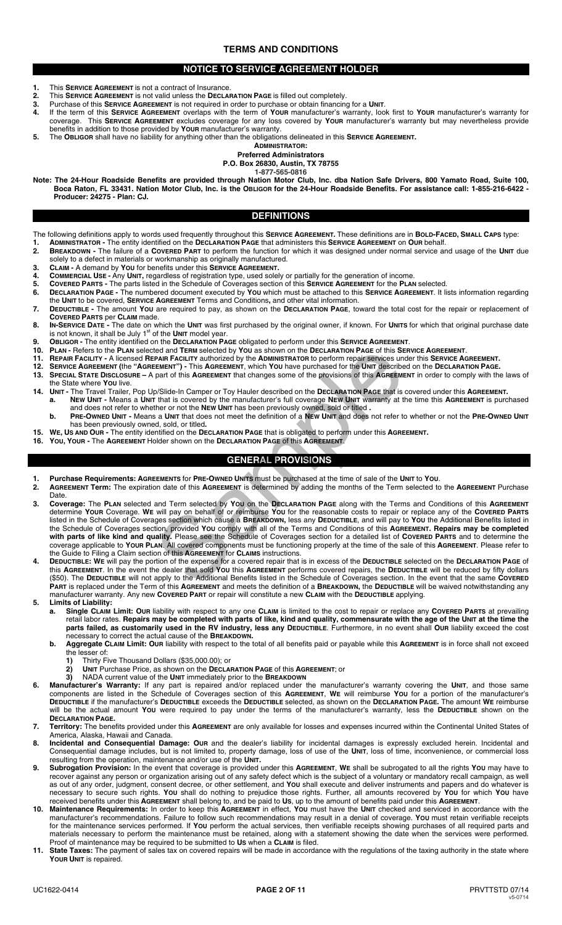# **TERMS AND CONDITIONS**

# **NOTICE TO SERVICE AGREEMENT HOLDER**

- **1.** This **SERVICE AGREEMENT** is not a contract of Insurance.
- **2.** This **SERVICE AGREEMENT** is not valid unless the **DECLARATION PAGE** is filled out completely.<br>**3.** Purchase of this **SERVICE AGREEMENT** is not required in order to purchase or obtain financin
- **3.** Purchase of this **SERVICE AGREEMENT** is not required in order to purchase or obtain financing for a **UNIT**.
- **4.** If the term of this **SERVICE AGREEMENT** overlaps with the term of **YOUR** manufacturer's warranty, look first to **YOUR** manufacturer's warranty for coverage. This **SERVICE AGREEMENT** excludes coverage for any loss covered by **YOUR** manufacturer's warranty but may nevertheless provide benefits in addition to those provided by **YOUR** manufacturer's warranty.
- **5.** The **OBLIGOR** shall have no liability for anything other than the obligations delineated in this **SERVICE AGREEMENT.**

**ADMINISTRATOR:** 

**Preferred Administrators P.O. Box 26830, Austin, TX 78755** 

**1-877-565-0816** 

**Note: The 24-Hour Roadside Benefits are provided through Nation Motor Club, Inc. dba Nation Safe Drivers, 800 Yamato Road, Suite 100, Boca Raton, FL 33431. Nation Motor Club, Inc. is the OBLIGOR for the 24-Hour Roadside Benefits. For assistance call: 1-855-216-6422 - Producer: 24275 - Plan: CJ.** 

# **DEFINITIONS**

- The following definitions apply to words used frequently throughout this **SERVICE AGREEMENT.** These definitions are in **BOLD-FACED, SMALL CAPS** type:
- **1. ADMINISTRATOR** The entity identified on the **DECLARATION PAGE** that administers this **SERVICE AGREEMENT** on **OUR** behalf. **2. BREAKDOWN -** The failure of a **COVERED PART** to perform the function for which it was designed under normal service and usage of the **UNIT** due
- solely to a defect in materials or workmanship as originally manufactured.
- **3. CLAIM -** A demand by **YOU** for benefits under this **SERVICE AGREEMENT.**
- **4. COMMERCIAL USE -** Any **UNIT,** regardless of registration type, used solely or partially for the generation of income. **5. COVERED PARTS -** The parts listed in the Schedule of Coverages section of this **SERVICE AGREEMENT** for the **PLAN** selected.
- **6. DECLARATION PAGE -** The numbered document executed by **YOU** which must be attached to this **SERVICE AGREEMENT**. It lists information regarding the **UNIT** to be covered, **SERVICE AGREEMENT** Terms and Conditions**,** and other vital information.
- **7. DEDUCTIBLE -** The amount **YOU** are required to pay, as shown on the **DECLARATION PAGE**, toward the total cost for the repair or replacement of **COVERED PARTS** per **CLAIM** made.
- 8. IN-SERVICE DATE The date on which the UNIT was first purchased by the original owner, if known. For UNITS for which that original purchase date is not known, it shall be July 1<sup>st</sup> of the UNIT model year.
- **9. OBLIGOR -** The entity identified on the **DECLARATION PAGE** obligated to perform under this **SERVICE AGREEMENT**.
- **10. PLAN -** Refers to the **PLAN** selected and **TERM** selected by **YOU** as shown on the **DECLARATION PAGE** of this **SERVICE AGREEMENT**.
- **11. REPAIR FACILITY -** A licensed **REPAIR FACILITY** authorized by the **ADMINISTRATOR** to perform repair services under this **SERVICE AGREEMENT.**
- **12. SERVICE AGREEMENT (**the **"AGREEMENT") -** This **AGREEMENT**, which **YOU** have purchased for the **UNIT** described on the **DECLARATION PAGE.**
- **13. SPECIAL STATE DISCLOSURE –** A part of this **AGREEMENT** that changes some of the provisions of this **AGREEMENT** in order to comply with the laws of the State where **YOU** live.
- **14. UNIT -** The Travel Trailer, Pop Up/Slide-In Camper or Toy Hauler described on the **DECLARATION PAGE** that is covered under this **AGREEMENT. a. NEW UNIT -** Means a **UNIT** that is covered by the manufacturer's full coverage **NEW UNIT** warranty at the time this **AGREEMENT** is purchased and does not refer to whether or not the **NEW UNIT** has been previously owned, sold or titled **.**
- **b. PRE-OWNED UNIT** Means a **UNIT** that does not meet the definition of a **NEW UNIT** and does not refer to whether or not the **PRE-OWNED UNIT**  has been previously owned, sold, or titled**.**
- **15. WE, US AND OUR -** The entity identified on the **DECLARATION PAGE** that is obligated to perform under this **AGREEMENT.**
- **16. YOU, YOUR -** The **AGREEMENT** Holder shown on the **DECLARATION PAGE** of this **AGREEMENT**.

# **GENERAL PROVISIONS**

- **1. Purchase Requirements: AGREEMENTS** for **PRE-OWNED UNITS** must be purchased at the time of sale of the **UNIT** to **YOU**. **2. AGREEMENT Term:** The expiration date of this **AGREEMENT** is determined by adding the months of the Term selected to the **AGREEMENT** Purchase
- Date. **3. Coverage:** The **PLAN** selected and Term selected by **YOU** on the **DECLARATION PAGE** along with the Terms and Conditions of this **AGREEMENT**  determine **YOUR** Coverage. **WE** will pay on behalf of or reimburse **YOU** for the reasonable costs to repair or replace any of the **COVERED PARTS** listed in the Schedule of Coverages section which cause a **BREAKDOWN,** less any **DEDUCTIBLE**, and will pay to **YOU** the Additional Benefits listed in the Schedule of Coverages section, provided **YOU** comply with all of the Terms and Conditions of this **AGREEMENT. Repairs may be completed with parts of like kind and quality.** Please see the Schedule of Coverages section for a detailed list of **COVERED PARTS** and to determine the coverage applicable to **YOUR PLAN**. All covered components must be functioning properly at the time of the sale of this **AGREEMENT**. Please refer to the Guide to Filing a Claim section of this **AGREEMENT** for **CLAIMS** instructions. ted and Term selected by YOU as shown on the **DECLARATION PAGE** of this **SECEMENT**<br>
FRAIN FACILITY authorized by the **ADMINISTRATOR to perform repair services** unit<br>
FRAIN FACILITY authorized by the **ADMINISTRATOR to perfo**
- **4. DEDUCTIBLE: WE** will pay the portion of the expense for a covered repair that is in excess of the **DEDUCTIBLE** selected on the **DECLARATION PAGE** of this **AGREEMENT**. In the event the dealer that sold **YOU** this **AGREEMENT** performs covered repairs, the **DEDUCTIBLE** will be reduced by fifty dollars (\$50). The **DEDUCTIBLE** will not apply to the Additional Benefits listed in the Schedule of Coverages section. In the event that the same **COVERED PART** is replaced under the Term of this **AGREEMENT** and meets the definition of a **BREAKDOWN,** the **DEDUCTIBLE** will be waived notwithstanding any manufacturer warranty. Any new **COVERED PART** or repair will constitute a new **CLAIM** with the **DEDUCTIBLE** applying.
- **5. Limits of Liability:** 
	- **a. Single CLAIM Limit: OUR** liability with respect to any one **CLAIM** is limited to the cost to repair or replace any **COVERED PARTS** at prevailing retail labor rates. **Repairs may be completed with parts of like, kind and quality, commensurate with the age of the UNIT at the time the parts failed, as customarily used in the RV industry, less any DEDUCTIBLE**. Furthermore, in no event shall **OUR** liability exceed the cost necessary to correct the actual cause of the **BREAKDOWN.**
	- **b. Aggregate CLAIM Limit: OUR** liability with respect to the total of all benefits paid or payable while this **AGREEMENT** is in force shall not exceed the lesser of:
		- **1)** Thirty Five Thousand Dollars (\$35,000.00); or **2)** UNIT Purchase Price, as shown on the **DECLAR**
		- **2) UNIT** Purchase Price, as shown on the **DECLARATION PAGE** of this **AGREEMENT**; or
		- **3)** NADA current value of the **UNIT** immediately prior to the **BREAKDOWN**
- **6. Manufacturer's Warranty:** If any part is repaired and/or replaced under the manufacturer's warranty covering the **UNIT**, and those same components are listed in the Schedule of Coverages section of this **AGREEMENT**, **WE** will reimburse **YOU** for a portion of the manufacturer's **DEDUCTIBLE** if the manufacturer's **DEDUCTIBLE** exceeds the **DEDUCTIBLE** selected, as shown on the **DECLARATION PAGE.** The amount **WE** reimburse will be the actual amount **YOU** were required to pay under the terms of the manufacturer's warranty, less the **DEDUCTIBLE** shown on the **DECLARATION PAGE.**
- **7. Territory:** The benefits provided under this **AGREEMENT** are only available for losses and expenses incurred within the Continental United States of America, Alaska, Hawaii and Canada.
- **8. Incidental and Consequential Damage: OUR** and the dealer's liability for incidental damages is expressly excluded herein. Incidental and Consequential damage includes, but is not limited to, property damage, loss of use of the **UNIT**, loss of time, inconvenience, or commercial loss resulting from the operation, maintenance and/or use of the **UNIT.**
- **9. Subrogation Provision:** In the event that coverage is provided under this **AGREEMENT**, **WE** shall be subrogated to all the rights **YOU** may have to recover against any person or organization arising out of any safety defect which is the subject of a voluntary or mandatory recall campaign, as well as out of any order, judgment, consent decree, or other settlement, and **YOU** shall execute and deliver instruments and papers and do whatever is necessary to secure such rights. **YOU** shall do nothing to prejudice those rights. Further, all amounts recovered by **YOU** for which **YOU** have received benefits under this **AGREEMENT** shall belong to, and be paid to **US**, up to the amount of benefits paid under this **AGREEMENT**.
- **10. Maintenance Requirements:** In order to keep this **AGREEMENT** in effect, **YOU** must have the **UNIT** checked and serviced in accordance with the manufacturer's recommendations. Failure to follow such recommendations may result in a denial of coverage. **YOU** must retain verifiable receipts for the maintenance services performed. If **YOU** perform the actual services, then verifiable receipts showing purchases of all required parts and materials necessary to perform the maintenance must be retained, along with a statement showing the date when the services were performed. Proof of maintenance may be required to be submitted to **US** when a **CLAIM** is filed.
- **11. State Taxes:** The payment of sales tax on covered repairs will be made in accordance with the regulations of the taxing authority in the state where **YOUR UNIT** is repaired.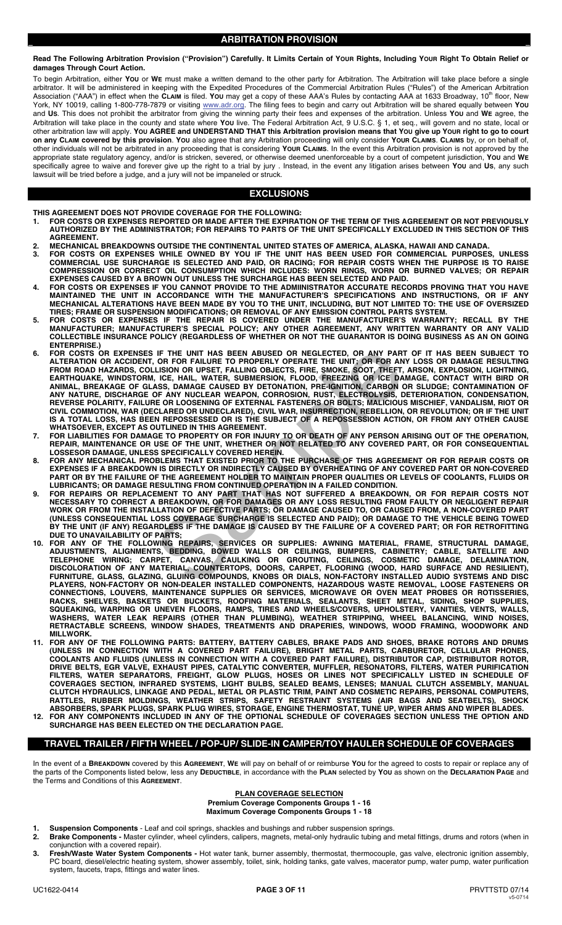**Read The Following Arbitration Provision ("Provision") Carefully. It Limits Certain of YOUR Rights, Including YOUR Right To Obtain Relief or damages Through Court Action.** 

To begin Arbitration, either **YOU** or **WE** must make a written demand to the other party for Arbitration. The Arbitration will take place before a single arbitrator. It will be administered in keeping with the Expedited Procedures of the Commercial Arbitration Rules ("Rules") of the American Arbitration<br>Association ("AAA") in effect when the **CLAIM** is filed. **You** may get York, NY 10019, calling 1-800-778-7879 or visiting www.adr.org. The filing fees to begin and carry out Arbitration will be shared equally between **YOU** and **US**. This does not prohibit the arbitrator from giving the winning party their fees and expenses of the arbitration. Unless **YOU** and **WE** agree, the Arbitration will take place in the county and state where **YOU** live. The Federal Arbitration Act, 9 U.S.C. § 1, et seq., will govern and no state, local or other arbitration law will apply. **YOU AGREE and UNDERSTAND THAT this Arbitration provision means that YOU give up YOUR right to go to court on any CLAIM covered by this provision**. **YOU** also agree that any Arbitration proceeding will only consider **YOUR CLAIMS**. **CLAIMS** by, or on behalf of, other individuals will not be arbitrated in any proceeding that is considering **YOUR CLAIMS**. In the event this Arbitration provision is not approved by the appropriate state regulatory agency, and/or is stricken, severed, or otherwise deemed unenforceable by a court of competent jurisdiction, **YOU** and **WE** specifically agree to waive and forever give up the right to a trial by jury . Instead, in the event any litigation arises between **YOU** and **US**, any such lawsuit will be tried before a judge, and a jury will not be impaneled or struck.

# **EXCLUSIONS**

**THIS AGREEMENT DOES NOT PROVIDE COVERAGE FOR THE FOLLOWING:** 

- **1. FOR COSTS OR EXPENSES REPORTED OR MADE AFTER THE EXPIRATION OF THE TERM OF THIS AGREEMENT OR NOT PREVIOUSLY AUTHORIZED BY THE ADMINISTRATOR; FOR REPAIRS TO PARTS OF THE UNIT SPECIFICALLY EXCLUDED IN THIS SECTION OF THIS AGREEMENT.**
- **2. MECHANICAL BREAKDOWNS OUTSIDE THE CONTINENTAL UNITED STATES OF AMERICA, ALASKA, HAWAII AND CANADA.**
- **3. FOR COSTS OR EXPENSES WHILE OWNED BY YOU IF THE UNIT HAS BEEN USED FOR COMMERCIAL PURPOSES, UNLESS COMMERCIAL USE SURCHARGE IS SELECTED AND PAID, OR RACING; FOR REPAIR COSTS WHEN THE PURPOSE IS TO RAISE COMPRESSION OR CORRECT OIL CONSUMPTION WHICH INCLUDES: WORN RINGS, WORN OR BURNED VALVES; OR REPAIR EXPENSES CAUSED BY A BROWN OUT UNLESS THE SURCHARGE HAS BEEN SELECTED AND PAID.**
- **4. FOR COSTS OR EXPENSES IF YOU CANNOT PROVIDE TO THE ADMIINISTRATOR ACCURATE RECORDS PROVING THAT YOU HAVE MAINTAINED THE UNIT IN ACCORDANCE WITH THE MANUFACTURER'S SPECIFICATIONS AND INSTRUCTIONS, OR IF ANY MECHANICAL ALTERATIONS HAVE BEEN MADE BY YOU TO THE UNIT, INCLUDING, BUT NOT LIMITED TO: THE USE OF OVERSIZED TIRES; FRAME OR SUSPENSION MODIFICATIONS; OR REMOVAL OF ANY EMISSION CONTROL PARTS SYSTEM.**
- **5. FOR COSTS OR EXPENSES IF THE REPAIR IS COVERED UNDER THE MANUFACTURER'S WARRANTY; RECALL BY THE MANUFACTURER; MANUFACTURER'S SPECIAL POLICY; ANY OTHER AGREEMENT, ANY WRITTEN WARRANTY OR ANY VALID COLLECTIBLE INSURANCE POLICY (REGARDLESS OF WHETHER OR NOT THE GUARANTOR IS DOING BUSINESS AS AN ON GOING ENTERPRISE.)**
- **6. FOR COSTS OR EXPENSES IF THE UNIT HAS BEEN ABUSED OR NEGLECTED, OR ANY PART OF IT HAS BEEN SUBJECT TO ALTERATION OR ACCIDENT, OR FOR FAILURE TO PROPERLY OPERATE THE UNIT; OR FOR ANY LOSS OR DAMAGE RESULTING FROM ROAD HAZARDS, COLLISION OR UPSET, FALLING OBJECTS, FIRE, SMOKE, SOOT, THEFT, ARSON, EXPLOSION, LIGHTNING, EARTHQUAKE, WINDSTORM, ICE, HAIL, WATER, SUBMERSION, FLOOD, FREEZING OR ICE DAMAGE, CONTACT WITH BIRD OR ANIMAL, BREAKAGE OF GLASS, DAMAGE CAUSED BY DETONATION, PRE-IGNITION, CARBON OR SLUDGE; CONTAMINATION OF ANY NATURE, DISCHARGE OF ANY NUCLEAR WEAPON, CORROSION, RUST, ELECTROLYSIS, DETERIORATION, CONDENSATION, REVERSE POLARITY, FAILURE OR LOOSENING OF EXTERNAL FASTENERS OR BOLTS; MALICIOUS MISCHIEF, VANDALISM, RIOT OR CIVIL COMMOTION, WAR (DECLARED OR UNDECLARED), CIVIL WAR, INSURRECTION, REBELLION, OR REVOLUTION; OR IF THE UNIT IS A TOTAL LOSS, HAS BEEN REPOSSESSED OR IS THE SUBJECT OF A REPOSSESSION ACTION, OR FROM ANY OTHER CAUSE WHATSOEVER, EXCEPT AS OUTLINED IN THIS AGREEMENT.**  IF THE UNIT HAS BEEN ABUSED OR NEGLECTED, OR ANY PART<br>OR FOR FAILURE TO PROPERLY OPERATE THE UNIT; OR FOR ANY<br>LISION OR UPSET, FALLING OBJECTS, FIRE, SMOKE, SOOT, THEFT,<br>I.CE, HAIL, WATER, SUBMERSION, FLOOD, FREEZING OR IC
- **7. FOR LIABILITIES FOR DAMAGE TO PROPERTY OR FOR INJURY TO OR DEATH OF ANY PERSON ARISING OUT OF THE OPERATION, REPAIR, MAINTENANCE OR USE OF THE UNIT, WHETHER OR NOT RELATED TO ANY COVERED PART, OR FOR CONSEQUENTIAL LOSSESOR DAMAGE, UNLESS SPECIFICALLY COVERED HEREIN.**
- **8. FOR ANY MECHANICAL PROBLEMS THAT EXISTED PRIOR TO THE PURCHASE OF THIS AGREEMENT OR FOR REPAIR COSTS OR EXPENSES IF A BREAKDOWN IS DIRECTLY OR INDIRECTLY CAUSED BY OVERHEATING OF ANY COVERED PART OR NON-COVERED PART OR BY THE FAILURE OF THE AGREEMENT HOLDER TO MAINTAIN PROPER QUALITIES OR LEVELS OF COOLANTS, FLUIDS OR LUBRICANTS; OR DAMAGE RESULTING FROM CONTINUED OPERATION IN A FAILED CONDITION.**
- **9. FOR REPAIRS OR REPLACEMENT TO ANY PART THAT HAS NOT SUFFERED A BREAKDOWN, OR FOR REPAIR COSTS NOT NECESSARY TO CORRECT A BREAKDOWN, OR FOR DAMAGES OR ANY LOSS RESULTING FROM FAULTY OR NEGLIGENT REPAIR WORK OR FROM THE INSTALLATION OF DEFECTIVE PARTS; OR DAMAGE CAUSED TO, OR CAUSED FROM, A NON-COVERED PART (UNLESS CONSEQUENTIAL LOSS COVERAGE SURCHARGE IS SELECTED AND PAID); OR DAMAGE TO THE VEHICLE BEING TOWED BY THE UNIT (IF ANY) REGARDLESS IF THE DAMAGE IS CAUSED BY THE FAILURE OF A COVERED PART; OR FOR RETROFITTING DUE TO UNAVAILABILITY OF PARTS;**
- **10. FOR ANY OF THE FOLLOWING REPAIRS, SERVICES OR SUPPLIES: AWNING MATERIAL, FRAME, STRUCTURAL DAMAGE, ADJUSTMENTS, ALIGNMENTS, BEDDING, BOWED WALLS OR CEILINGS, BUMPERS, CABINETRY; CABLE, SATELLITE AND TELEPHONE WIRING; CARPET, CANVAS, CAULKING OR GROUTING, CEILINGS, COSMETIC DAMAGE, DELAMINATION, DISCOLORATION OF ANY MATERIAL, COUNTERTOPS, DOORS, CARPET, FLOORING (WOOD, HARD SURFACE AND RESILIENT), FURNITURE, GLASS, GLAZING, GLUING COMPOUNDS, KNOBS OR DIALS, NON-FACTORY INSTALLED AUDIO SYSTEMS AND DISC PLAYERS, NON-FACTORY OR NON-DEALER INSTALLED COMPONENTS, HAZARDOUS WASTE REMOVAL, LOOSE FASTENERS OR CONNECTIONS, LOUVERS, MAINTENANCE SUPPLIES OR SERVICES, MICROWAVE OR OVEN MEAT PROBES OR ROTISSERIES, RACKS, SHELVES, BASKETS OR BUCKETS, ROOFING MATERIALS, SEALANTS, SHEET METAL, SIDING, SHOP SUPPLIES, SQUEAKING, WARPING OR UNEVEN FLOORS, RAMPS, TIRES AND WHEELS/COVERS, UPHOLSTERY, VANITIES, VENTS, WALLS, WASHERS, WATER LEAK REPAIRS (OTHER THAN PLUMBING), WEATHER STRIPPING, WHEEL BALANCING, WIND NOISES, RETRACTABLE SCREENS, WINDOW SHADES, TREATMENTS AND DRAPERIES, WINDOWS, WOOD FRAMING, WOODWORK AND MILLWORK.**
- **11. FOR ANY OF THE FOLLOWING PARTS: BATTERY, BATTERY CABLES, BRAKE PADS AND SHOES, BRAKE ROTORS AND DRUMS (UNLESS IN CONNECTION WITH A COVERED PART FAILURE), BRIGHT METAL PARTS, CARBURETOR, CELLULAR PHONES, COOLANTS AND FLUIDS (UNLESS IN CONNECTION WITH A COVERED PART FAILURE), DISTRIBUTOR CAP, DISTRIBUTOR ROTOR, DRIVE BELTS, EGR VALVE, EXHAUST PIPES, CATALYTIC CONVERTER, MUFFLER, RESONATORS, FILTERS, WATER PURIFICATION FILTERS, WATER SEPARATORS, FREIGHT, GLOW PLUGS, HOSES OR LINES NOT SPECIFICALLY LISTED IN SCHEDULE OF COVERAGES SECTION, INFRARED SYSTEMS, LIGHT BULBS, SEALED BEAMS, LENSES; MANUAL CLUTCH ASSEMBLY, MANUAL CLUTCH HYDRAULICS, LINKAGE AND PEDAL, METAL OR PLASTIC TRIM, PAINT AND COSMETIC REPAIRS, PERSONAL COMPUTERS, RATTLES, RUBBER MOLDINGS, WEATHER STRIPS, SAFETY RESTRAINT SYSTEMS (AIR BAGS AND SEATBELTS), SHOCK ABSORBERS, SPARK PLUGS, SPARK PLUG WIRES, STORAGE, ENGINE THERMOSTAT, TUNE UP, WIPER ARMS AND WIPER BLADES. 12. FOR ANY COMPONENTS INCLUDED IN ANY OF THE OPTIONAL SCHEDULE OF COVERAGES SECTION UNLESS THE OPTION AND**
- **SURCHARGE HAS BEEN ELECTED ON THE DECLARATION PAGE.**

# **TRAVEL TRAILER / FIFTH WHEEL / POP-UP/ SLIDE-IN CAMPER/TOY HAULER SCHEDULE OF COVERAGES**

In the event of a **BREAKDOWN** covered by this **AGREEMENT**, **WE** will pay on behalf of or reimburse **YOU** for the agreed to costs to repair or replace any of the parts of the Components listed below, less any **DEDUCTIBLE**, in accordance with the **PLAN** selected by **YOU** as shown on the **DECLARATION PAGE** and the Terms and Conditions of this **AGREEMENT**.

#### **PLAN COVERAGE SELECTION Premium Coverage Components Groups 1 - 16 Maximum Coverage Components Groups 1 - 18**

- **1. Suspension Components**  Leaf and coil springs, shackles and bushings and rubber suspension springs. **2. Brake Components -** Master cylinder, wheel cylinders, calipers, magnets, metal-only hydraulic tubing and metal fittings, drums and rotors (when in
- conjunction with a covered repair).
- **3. Fresh/Waste Water System Components** Hot water tank, burner assembly, thermostat, thermocouple, gas valve, electronic ignition assembly, PC board, diesel/electric heating system, shower assembly, toilet, sink, holding tanks, gate valves, macerator pump, water pump, water purification system, faucets, traps, fittings and water lines.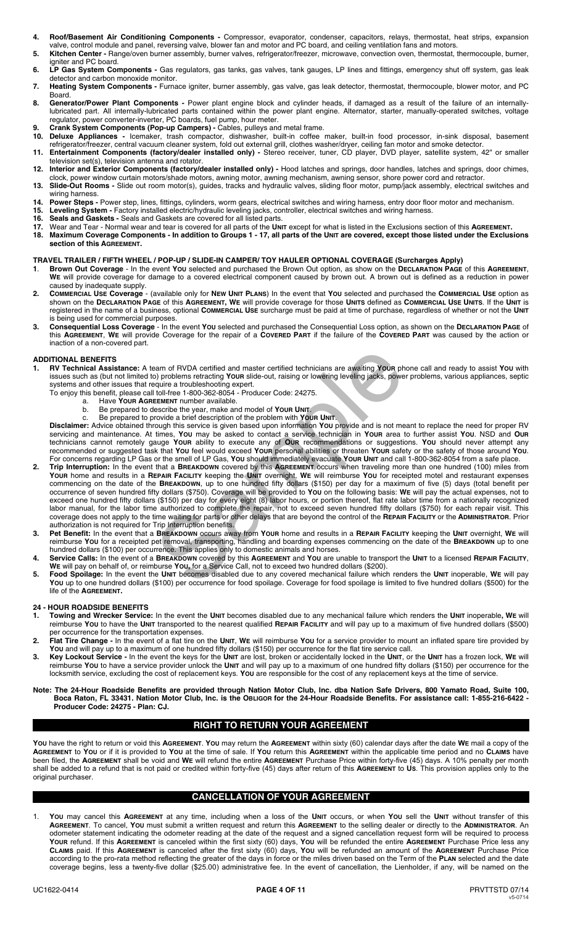- **4. Roof/Basement Air Conditioning Components** Compressor, evaporator, condenser, capacitors, relays, thermostat, heat strips, expansion valve, control module and panel, reversing valve, blower fan and motor and PC board, and ceiling ventilation fans and motors.
- **5. Kitchen Center** Range/oven burner assembly, burner valves, refrigerator/freezer, microwave, convection oven, thermostat, thermocouple, burner, igniter and PC board.
- **6. LP Gas System Components** Gas regulators, gas tanks, gas valves, tank gauges, LP lines and fittings, emergency shut off system, gas leak detector and carbon monoxide monitor.
- **7. Heating System Components** Furnace igniter, burner assembly, gas valve, gas leak detector, thermostat, thermocouple, blower motor, and PC Board.
- **8. Generator/Power Plant Components** Power plant engine block and cylinder heads, if damaged as a result of the failure of an internallylubricated part. All internally-lubricated parts contained within the power plant engine. Alternator, starter, manually-operated switches, voltage regulator, power converter-inverter, PC boards, fuel pump, hour meter.
- **9. Crank System Components (Pop-up Campers) -** Cables, pulleys and metal frame.
- **10. Deluxe Appliances -** Icemaker, trash compactor, dishwasher, built-in coffee maker, built-in food processor, in-sink disposal, basement refrigerator/freezer, central vacuum cleaner system, fold out external grill, clothes washer/dryer, ceiling fan motor and smoke detector. **11. Entertainment Components (factory/dealer installed only) -** Stereo receiver, tuner, CD player, DVD player, satellite system, 42" or smaller
- television set(s), television antenna and rotator. **12. Interior and Exterior Components (factory/dealer installed only) -** Hood latches and springs, door handles, latches and springs, door chimes,
- clock, power window curtain motors/shade motors, awning motor, awning mechanism, awning sensor, shore power cord and retractor.
- **13. Slide-Out Rooms -** Slide out room motor(s), guides, tracks and hydraulic valves, sliding floor motor, pump/jack assembly, electrical switches and wiring harness.
- **14. Power Steps -** Power step, lines, fittings, cylinders, worm gears, electrical switches and wiring harness, entry door floor motor and mechanism.
- **15. Leveling System Factory installed electric/hydraulic leveling jacks, controller, electrical switches and wiring harness.**
- **16. Seals and Gaskets** Seals and Gaskets are covered for all listed parts.
- **17.** Wear and Tear Normal wear and tear is covered for all parts of the **UNIT** except for what is listed in the Exclusions section of this **AGREEMENT. 18. Maximum Coverage Components - In addition to Groups 1 - 17, all parts of the UNIT are covered, except those listed under the Exclusions section of this AGREEMENT.**

# **TRAVEL TRAILER / FIFTH WHEEL / POP-UP / SLIDE-IN CAMPER/ TOY HAULER OPTIONAL COVERAGE (Surcharges Apply)**

- **1**. **Brown Out Coverage**  In the event **YOU** selected and purchased the Brown Out option, as show on the **DECLARATION PAGE** of this **AGREEMENT**, **WE** will provide coverage for damage to a covered electrical component caused by brown out. A brown out is defined as a reduction in power caused by inadequate supply.
- **2. COMMERCIAL USE Coverage**  (available only for **NEW UNIT PLANS**) In the event that **YOU** selected and purchased the **COMMERCIAL USE** option as shown on the **DECLARATION PAGE** of this **AGREEMENT, WE** will provide coverage for those **UNITS** defined as **COMMERCIAL USE UNITS**. If the **UNIT** is registered in the name of a business, optional **COMMERCIAL USE** surcharge must be paid at time of purchase, regardless of whether or not the **UNIT** is being used for commercial purposes.
- **3. Consequential Loss Coverage**  In the event **YOU** selected and purchased the Consequential Loss option, as shown on the **DECLARATION PAGE** of this **AGREEMENT**, **WE** will provide Coverage for the repair of a **COVERED PART** if the failure of the **COVERED PART** was caused by the action or inaction of a non-covered part.

### **ADDITIONAL BENEFITS**

- **1. RV Technical Assistance:** A team of RVDA certified and master certified technicians are awaiting **YOUR** phone call and ready to assist **YOU** with issues such as (but not limited to) problems retracting **YOUR** slide-out, raising or lowering leveling jacks, power problems, various appliances, septic systems and other issues that require a troubleshooting expert.
	- To enjoy this benefit, please call toll-free 1-800-362-8054 Producer Code: 24275.
		- a. Have **YOUR AGREEMENT** number available.
		- b. Be prepared to describe the year, make and model of **YOUR UNIT**. c. Be prepared to provide a brief description of the problem with **YOUR UNIT**.

**Disclaimer:** Advice obtained through this service is given based upon information **YOU** provide and is not meant to replace the need for proper RV servicing and maintenance. At times, **YOU** may be asked to contact a service technician in **YOUR** area to further assist **YOU**. NSD and **OUR** technicians cannot remotely gauge **YOUR** ability to execute any of **OUR** recommendations or suggestions. **YOU** should never attempt any recommended or suggested task that **YOU** feel would exceed **YOUR** personal abilities or threaten **YOUR** safety or the safety of those around **YOU**. For concerns regarding LP Gas or the smell of LP Gas, **YOU** should immediately evacuate **YOUR UNIT** and call 1-800-362-8054 from a safe place.

- **2. Trip Interruption:** In the event that a **BREAKDOWN** covered by this **AGREEMENT** occurs when traveling more than one hundred (100) miles from **YOUR** home and results in a **REPAIR FACILITY** keeping the **UNIT** overnight, **WE** will reimburse **YOU** for receipted motel and restaurant expenses commencing on the date of the **BREAKDOWN**, up to one hundred fifty dollars (\$150) per day for a maximum of five (5) days (total benefit per occurrence of seven hundred fifty dollars (\$750). Coverage will be provided to **YOU** on the following basis: **WE** will pay the actual expenses, not to exceed one hundred fifty dollars (\$150) per day for every eight (8) labor hours, or portion thereof, flat rate labor time from a nationally recognized labor manual, for the labor time authorized to complete the repair, not to exceed seven hundred fifty dollars (\$750) for each repair visit. This coverage does not apply to the time waiting for parts or other delays that are beyond the control of the **REPAIR FACILITY** or the **ADMINISTRATOR**. Prior authorization is not required for Trip Interruption benefits. by problems retracting Your side-out, raising or lowering leveling is a compression on production server and the signal equite a troubleshooting expert.<br>Equire a troubleshooting expert.<br>
Equire a troubleshooting expert.<br>
E
- **3. Pet Benefit:** In the event that a **BREAKDOWN** occurs away from **YOUR** home and results in a **REPAIR FACILITY** keeping the **UNIT** overnight, **WE** will reimburse **YOU** for a receipted pet removal, transporting, handling and boarding expenses commencing on the date of the **BREAKDOWN** up to one hundred dollars (\$100) per occurrence. This applies only to domestic animals and horses.
- **4. Service Calls:** In the event of a **BREAKDOWN** covered by this **AGREEMENT** and **YOU** are unable to transport the **UNIT** to a licensed **REPAIR FACILITY**, **WE** will pay on behalf of, or reimburse **YOU,** for a Service Call, not to exceed two hundred dollars (\$200).
- **5. Food Spoilage:** In the event the **UNIT** becomes disabled due to any covered mechanical failure which renders the **UNIT** inoperable, **WE** will pay You up to one hundred dollars (\$100) per occurrence for food spoilage. Coverage for food spoilage is limited to five hundred dollars (\$500) for the life of the **AGREEMENT.**

## **24 - HOUR ROADSIDE BENEFITS**

- **1. Towing and Wrecker Service:** In the event the **UNIT** becomes disabled due to any mechanical failure which renders the **UNIT** inoperable**, WE** will reimburse **YOU** to have the **UNIT** transported to the nearest qualified **REPAIR FACILITY** and will pay up to a maximum of five hundred dollars (\$500) per occurrence for the transportation expenses.
- **2. Flat Tire Change** In the event of a flat tire on the **UNIT**, **WE** will reimburse **YOU** for a service provider to mount an inflated spare tire provided by **YOU** and will pay up to a maximum of one hundred fifty dollars (\$150) per occurrence for the flat tire service call.
- **3. Key Lockout Service** In the event the keys for the **UNIT** are lost, broken or accidentally locked in the **UNIT**, or the **UNIT** has a frozen lock, **WE** will reimburse **YOU** to have a service provider unlock the **UNIT** and will pay up to a maximum of one hundred fifty dollars (\$150) per occurrence for the locksmith service, excluding the cost of replacement keys. **YOU** are responsible for the cost of any replacement keys at the time of service.
- **Note: The 24-Hour Roadside Benefits are provided through Nation Motor Club, Inc. dba Nation Safe Drivers, 800 Yamato Road, Suite 100, Boca Raton, FL 33431. Nation Motor Club, Inc. is the OBLIGOR for the 24-Hour Roadside Benefits. For assistance call: 1-855-216-6422 - Producer Code: 24275 - Plan: CJ.**

# **RIGHT TO RETURN YOUR AGREEMENT**

**YOU** have the right to return or void this **AGREEMENT**. **YOU** may return the **AGREEMENT** within sixty (60) calendar days after the date **WE** mail a copy of the **AGREEMENT** to **YOU** or if it is provided to **YOU** at the time of sale. If **YOU** return this **AGREEMENT** within the applicable time period and no **CLAIMS** have been filed, the **AGREEMENT** shall be void and **WE** will refund the entire **AGREEMENT** Purchase Price within forty-five (45) days. A 10% penalty per month shall be added to a refund that is not paid or credited within forty-five (45) days after return of this **AGREEMENT** to **US**. This provision applies only to the original purchaser.

# **CANCELLATION OF YOUR AGREEMENT**

1. **YOU** may cancel this **AGREEMENT** at any time, including when a loss of the **UNIT** occurs, or when **YOU** sell the **UNIT** without transfer of this **AGREEMENT**. To cancel, **YOU** must submit a written request and return this **AGREEMENT** to the selling dealer or directly to the **ADMINISTRATOR**. An odometer statement indicating the odometer reading at the date of the request and a signed cancellation request form will be required to process **YOUR** refund. If this **AGREEMENT** is canceled within the first sixty (60) days, **YOU** will be refunded the entire **AGREEMENT** Purchase Price less any **CLAIMS** paid. If this **AGREEMENT** is canceled after the first sixty (60) days, **YOU** will be refunded an amount of the **AGREEMENT** Purchase Price according to the pro-rata method reflecting the greater of the days in force or the miles driven based on the Term of the **PLAN** selected and the date coverage begins, less a twenty-five dollar (\$25.00) administrative fee. In the event of cancellation, the Lienholder, if any, will be named on the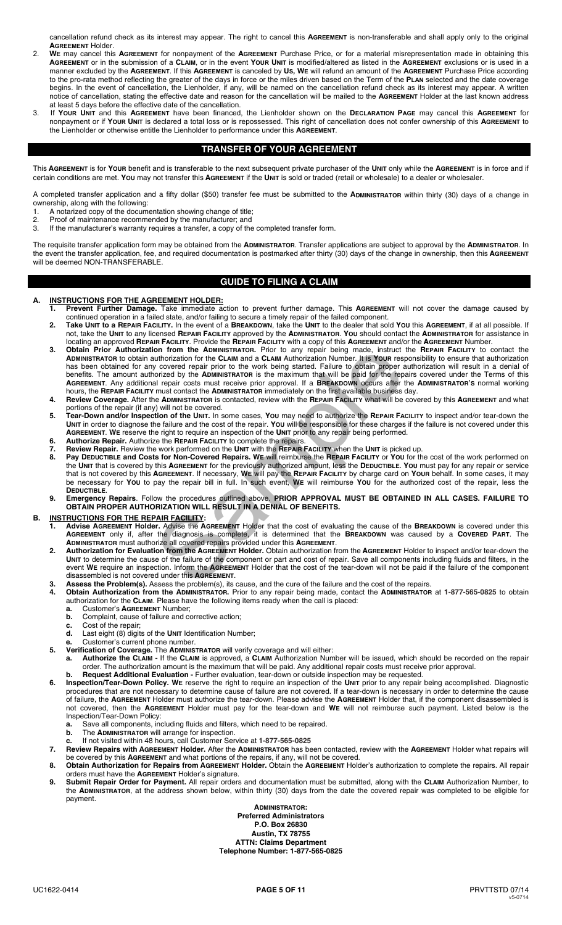cancellation refund check as its interest may appear. The right to cancel this **AGREEMENT** is non-transferable and shall apply only to the original **AGREEMENT** Holder.

- 2. **WE** may cancel this **AGREEMENT** for nonpayment of the **AGREEMENT** Purchase Price, or for a material misrepresentation made in obtaining this **AGREEMENT** or in the submission of a **CLAIM**, or in the event **YOUR UNIT** is modified/altered as listed in the **AGREEMENT** exclusions or is used in a manner excluded by the **AGREEMENT**. If this **AGREEMENT** is canceled by **US, WE** will refund an amount of the **AGREEMENT** Purchase Price according to the pro-rata method reflecting the greater of the days in force or the miles driven based on the Term of the **PLAN** selected and the date coverage begins. In the event of cancellation, the Lienholder, if any, will be named on the cancellation refund check as its interest may appear. A written notice of cancellation, stating the effective date and reason for the cancellation will be mailed to the **AGREEMENT** Holder at the last known address at least 5 days before the effective date of the cancellation.
- 3. If **YOUR UNIT** and this **AGREEMENT** have been financed, the Lienholder shown on the **DECLARATION PAGE** may cancel this **AGREEMENT** for nonpayment or if **YOUR UNIT** is declared a total loss or is repossessed. This right of cancellation does not confer ownership of this **AGREEMENT** to the Lienholder or otherwise entitle the Lienholder to performance under this **AGREEMENT**.

# **TRANSFER OF YOUR AGREEMENT**

This **AGREEMENT** is for **YOUR** benefit and is transferable to the next subsequent private purchaser of the **UNIT** only while the **AGREEMENT** is in force and if certain conditions are met. **YOU** may not transfer this **AGREEMENT** if the **UNIT** is sold or traded (retail or wholesale) to a dealer or wholesaler.

A completed transfer application and a fifty dollar (\$50) transfer fee must be submitted to the **ADMINISTRATOR** within thirty (30) days of a change in ownership, along with the following:

- 1. A notarized copy of the documentation showing change of title;<br>2. Proof of maintenance recommended by the manufacturer: and
- 2. Proof of maintenance recommended by the manufacturer; and<br>3. If the manufacturer's warranty requires a transfer, a copy of the If the manufacturer's warranty requires a transfer, a copy of the completed transfer form.

The requisite transfer application form may be obtained from the **ADMINISTRATOR**. Transfer applications are subject to approval by the **ADMINISTRATOR**. In the event the transfer application, fee, and required documentation is postmarked after thirty (30) days of the change in ownership, then this **AGREEMENT** will be deemed NON-TRANSFERABLE.

# **GUIDE TO FILING A CLAIM**

## **A. INSTRUCTIONS FOR THE AGREEMENT HOLDER:**

- **1. Prevent Further Damage.** Take immediate action to prevent further damage. This **AGREEMENT** will not cover the damage caused by continued operation in a failed state, and/or failing to secure a timely repair of the failed component.
- **2. Take UNIT to a REPAIR FACILITY.** In the event of a **BREAKDOWN**, take the **UNIT** to the dealer that sold **YOU** this **AGREEMENT**, if at all possible. If not, take the **UNIT** to any licensed **REPAIR FACILITY** approved by the **ADMINISTRATOR**. **YOU** should contact the **ADMINISTRATOR** for assistance in locating an approved **REPAIR FACILITY**. Provide the **REPAIR FACILITY** with a copy of this **AGREEMENT** and/or the **AGREEMENT** Number.
- **3. Obtain Prior Authorization from the ADMINISTRATOR.** Prior to any repair being made, instruct the **REPAIR FACILITY** to contact the **ADMINISTRATOR** to obtain authorization for the **CLAIM** and a **CLAIM** Authorization Number. It is **YOUR** responsibility to ensure that authorization has been obtained for any covered repair prior to the work being started. Failure to obtain proper authorization will result in a denial of benefits. The amount authorized by the **ADMINISTRATOR** is the maximum that will be paid for the repairs covered under the Terms of this **AGREEMENT**. Any additional repair costs must receive prior approval. If a **BREAKDOWN** occurs after the **ADMINISTRATOR'S** normal working hours, the **REPAIR FACILITY** must contact the **ADMINISTRATOR** immediately on the first available business day. **3. Obtain Prior Authorize the Rew The ADMINISTRATOR.** Prior to any repair being made, instruct the REP has been obtained for any oxover depair for the work being started. Failure to obtain proper authorized by the ADMINIS
- **4. Review Coverage.** After the **ADMINISTRATOR** is contacted, review with the **REPAIR FACILITY** what will be covered by this **AGREEMENT** and what portions of the repair (if any) will not be covered.
	- **5. Tear-Down and/or Inspection of the UNIT.** In some cases, **YOU** may need to authorize the **REPAIR FACILITY** to inspect and/or tear-down the **UNIT** in order to diagnose the failure and the cost of the repair. **YOU** will be responsible for these charges if the failure is not covered under this **AGREEMENT**. **WE** reserve the right to require an inspection of the **UNIT** prior to any repair being performed.
	- **6. Authorize Repair.** Authorize the **REPAIR FACILITY** to complete the repairs.
- **7. Review Repair.** Review the work performed on the **UNIT** with the **REPAIR FACILITY** when the **UNIT** is picked up.  **8. Pay DEDUCTIBLE and Costs for Non-Covered Repairs. WE** will reimburse the **REPAIR FACILITY** or **YOU** for the cost of the work performed on the **UNIT** that is covered by this **AGREEMENT** for the previously authorized amount, less the **DEDUCTIBLE**. **YOU** must pay for any repair or service that is not covered by this **AGREEMENT**. If necessary, **WE** will pay the **REPAIR FACILITY** by charge card on **YOUR** behalf. In some cases, it may be necessary for **YOU** to pay the repair bill in full. In such event, **WE** will reimburse **YOU** for the authorized cost of the repair, less the **DEDUCTIBLE**.
- **9. Emergency Repairs**. Follow the procedures outlined above. **PRIOR APPROVAL MUST BE OBTAINED IN ALL CASES. FAILURE TO OBTAIN PROPER AUTHORIZATION WILL RESULT IN A DENIAL OF BENEFITS.**

## **B. INSTRUCTIONS FOR THE REPAIR FACILITY:**

- **1. Advise AGREEMENT Holder.** Advise the **AGREEMENT** Holder that the cost of evaluating the cause of the **BREAKDOWN** is covered under this **AGREEMENT** only if, after the diagnosis is complete, it is determined that the **BREAKDOWN** was caused by a **COVERED PART**. The **ADMINISTRATOR** must authorize all covered repairs provided under this **AGREEMENT**.
- **2. Authorization for Evaluation from the AGREEMENT Holder.** Obtain authorization from the **AGREEMENT** Holder to inspect and/or tear-down the **UNIT** to determine the cause of the failure of the component or part and cost of repair. Save all components including fluids and filters, in the event **WE** require an inspection. Inform the **AGREEMENT** Holder that the cost of the tear-down will not be paid if the failure of the component disassembled is not covered under this **AGREEMENT**.
	-
	- **4. Obtain Authorization from the ADMINISTRATOR.** Prior to any repair being made, contact the **ADMINISTRATOR** at **1-877-565-0825** to obtain authorization for the **CLAIM**. Please have the following items ready when the call is placed:
		- **a.** Customer's **AGREEMENT** Number;<br>**b.** Complaint, cause of failure and complete **b.** Complaint, cause of failure and corrective action;
		-
		- Cost of the repair; **d.** Last eight (8) digits of the **UNIT** Identification Number;
		-
- **e.** Customer's current phone number.<br>**5** Verification of Coverage The ADMINIST  **5. Verification of Coverage.** The **ADMINISTRATOR** will verify coverage and will either:
- **a. Authorize the CLAIM -** If the **CLAIM** is approved, a **CLAIM** Authorization Number will be issued, which should be recorded on the repair order. The authorization amount is the maximum that will be paid. Any additional repair costs must receive prior approval.
- **b. Request Additional Evaluation -** Further evaluation, tear-down or outside inspection may be requested.<br>**6 Inspection/Tear-Down Policy.** WE reserve the right to require an inspection of the UNIT prior to any repair  **6. Inspection/Tear-Down Policy. WE** reserve the right to require an inspection of the **UNIT** prior to any repair being accomplished. Diagnostic procedures that are not necessary to determine cause of failure are not covered. If a tear-down is necessary in order to determine the cause of failure, the **AGREEMENT** Holder must authorize the tear-down. Please advise the **AGREEMENT** Holder that, if the component disassembled is not covered, then the **AGREEMENT** Holder must pay for the tear-down and **WE** will not reimburse such payment. Listed below is the
	- Inspection/Tear-Down Policy: **a.** Save all components, including fluids and filters, which need to be repaired.<br>**b.** The **ADMINISTRATOR** will arrange for inspection
- **b.** The **ADMINISTRATOR** will arrange for inspection.
- **c.** If not visited within 48 hours, call Customer Service at **1-877-565-0825**
	- **7. Review Repairs with AGREEMENT Holder.** After the **ADMINISTRATOR** has been contacted, review with the **AGREEMENT** Holder what repairs will be covered by this **AGREEMENT** and what portions of the repairs, if any, will not be covered.
- **8. Obtain Authorization for Repairs from AGREEMENT Holder.** Obtain the **AGREEMENT** Holder's authorization to complete the repairs. All repair orders must have the **AGREEMENT** Holder's signature.
	- **9. Submit Repair Order for Payment.** All repair orders and documentation must be submitted, along with the **CLAIM** Authorization Number, to the **ADMINISTRATOR**, at the address shown below, within thirty (30) days from the date the covered repair was completed to be eligible for payment.

**ADMINISTRATOR: Preferred Administrators P.O. Box 26830 Austin, TX 78755 ATTN: Claims Department Telephone Number: 1-877-565-0825**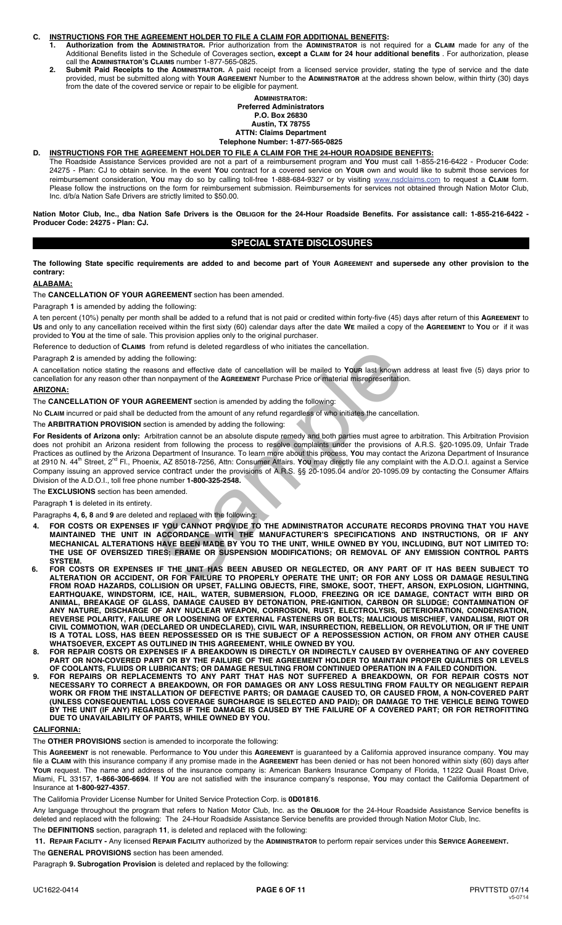### **C. INSTRUCTIONS FOR THE AGREEMENT HOLDER TO FILE A CLAIM FOR ADDITIONAL BENEFITS:**

- **1. Authorization from the ADMINISTRATOR.** Prior authorization from the **ADMINISTRATOR** is not required for a **CLAIM** made for any of the Additional Benefits listed in the Schedule of Coverages section**, except a CLAIM for 24 hour additional benefits** . For authorization, please call the **ADMINISTRATOR'S CLAIMS** number 1-877-565-0825.
	- **2. Submit Paid Receipts to the ADMINISTRATOR.** A paid receipt from a licensed service provider, stating the type of service and the date provided, must be submitted along with **YOUR AGREEMENT** Number to the **ADMINISTRATOR** at the address shown below, within thirty (30) days from the date of the covered service or repair to be eligible for payment.

#### **ADMINISTRATOR: Preferred Administrators P.O. Box 26830 Austin, TX 78755 ATTN: Claims Department Telephone Number: 1-877-565-0825**

# **D. INSTRUCTIONS FOR THE AGREEMENT HOLDER TO FILE A CLAIM FOR THE 24-HOUR ROADSIDE BENEFITS:**

 The Roadside Assistance Services provided are not a part of a reimbursement program and **YOU** must call 1-855-216-6422 - Producer Code: 24275 - Plan: CJ to obtain service. In the event **YOU** contract for a covered service on **YOUR** own and would like to submit those services for reimbursement consideration, **YOU** may do so by calling toll-free 1-888-684-9327 or by visiting www.nsdclaims.com to request a **CLAIM** form. Please follow the instructions on the form for reimbursement submission. Reimbursements for services not obtained through Nation Motor Club, Inc. d/b/a Nation Safe Drivers are strictly limited to \$50.00.

**Nation Motor Club, Inc., dba Nation Safe Drivers is the OBLIGOR for the 24-Hour Roadside Benefits. For assistance call: 1-855-216-6422 - Producer Code: 24275 - Plan: CJ.**

# **SPECIAL STATE DISCLOSURES**

**The following State specific requirements are added to and become part of YOUR AGREEMENT and supersede any other provision to the contrary:** 

## **ALABAMA:**

#### The **CANCELLATION OF YOUR AGREEMENT** section has been amended.

Paragraph **1** is amended by adding the following:

A ten percent (10%) penalty per month shall be added to a refund that is not paid or credited within forty-five (45) days after return of this **AGREEMENT** to **US** and only to any cancellation received within the first sixty (60) calendar days after the date **WE** mailed a copy of the **AGREEMENT** to **YOU** or if it was provided to **YOU** at the time of sale. This provision applies only to the original purchaser.

Reference to deduction of **CLAIMS** from refund is deleted regardless of who initiates the cancellation.

Paragraph **2** is amended by adding the following:

A cancellation notice stating the reasons and effective date of cancellation will be mailed to **YOUR** last known address at least five (5) days prior to cancellation for any reason other than nonpayment of the **AGREEMENT** Purchase Price or material misrepresentation.

#### **ARIZONA:**

The **CANCELLATION OF YOUR AGREEMENT** section is amended by adding the following:

No **CLAIM** incurred or paid shall be deducted from the amount of any refund regardless of who initiates the cancellation.

The **ARBITRATION PROVISION** section is amended by adding the following:

**For Residents of Arizona only:** Arbitration cannot be an absolute dispute remedy and both parties must agree to arbitration. This Arbitration Provision does not prohibit an Arizona resident from following the process to resolve complaints under the provisions of A.R.S. §20-1095.09, Unfair Trade Practices as outlined by the Arizona Department of Insurance. To learn more about this process, **YOU** may contact the Arizona Department of Insurance at 2910 N. 44<sup>th</sup> Street, 2<sup>nd</sup> Fl., Phoenix, AZ 85018-7256, Attn: Consumer Affairs. You may directly file any complaint with the A.D.O.I. against a Service Company issuing an approved service contract under the provisions of A.R.S. §§ 20-1095.04 and/or 20-1095.09 by contacting the Consumer Affairs Division of the A.D.O.I., toll free phone number **1-800-325-2548.**  on Fieldin is oriental to the diamongle of the Hollowing:<br>the following:<br>sons and effective date of cancellation will be mailed to Your last known a<br>nonpayment of the AGREEMENT Purchase Price or material misrepresentation<br>

The **EXCLUSIONS** section has been amended.

Paragraph **1** is deleted in its entirety.

Paragraphs **4, 6, 8** and **9** are deleted and replaced with the following:

- **4. FOR COSTS OR EXPENSES IF YOU CANNOT PROVIDE TO THE ADMINISTRATOR ACCURATE RECORDS PROVING THAT YOU HAVE MAINTAINED THE UNIT IN ACCORDANCE WITH THE MANUFACTURER'S SPECIFICATIONS AND INSTRUCTIONS, OR IF ANY MECHANICAL ALTERATIONS HAVE BEEN MADE BY YOU TO THE UNIT, WHILE OWNED BY YOU, INCLUDING, BUT NOT LIMITED TO: THE USE OF OVERSIZED TIRES; FRAME OR SUSPENSION MODIFICATIONS; OR REMOVAL OF ANY EMISSION CONTROL PARTS SYSTEM.**
- **6. FOR COSTS OR EXPENSES IF THE UNIT HAS BEEN ABUSED OR NEGLECTED, OR ANY PART OF IT HAS BEEN SUBJECT TO ALTERATION OR ACCIDENT, OR FOR FAILURE TO PROPERLY OPERATE THE UNIT; OR FOR ANY LOSS OR DAMAGE RESULTING FROM ROAD HAZARDS, COLLISION OR UPSET, FALLING OBJECTS, FIRE, SMOKE, SOOT, THEFT, ARSON, EXPLOSION, LIGHTNING, EARTHQUAKE, WINDSTORM, ICE, HAIL, WATER, SUBMERSION, FLOOD, FREEZING OR ICE DAMAGE, CONTACT WITH BIRD OR ANIMAL, BREAKAGE OF GLASS, DAMAGE CAUSED BY DETONATION, PRE-IGNITION, CARBON OR SLUDGE; CONTAMINATION OF ANY NATURE, DISCHARGE OF ANY NUCLEAR WEAPON, CORROSION, RUST, ELECTROLYSIS, DETERIORATION, CONDENSATION, REVERSE POLARITY, FAILURE OR LOOSENING OF EXTERNAL FASTENERS OR BOLTS; MALICIOUS MISCHIEF, VANDALISM, RIOT OR CIVIL COMMOTION, WAR (DECLARED OR UNDECLARED), CIVIL WAR, INSURRECTION, REBELLION, OR REVOLUTION, OR IF THE UNIT IS A TOTAL LOSS, HAS BEEN REPOSSESSED OR IS THE SUBJECT OF A REPOSSESSION ACTION, OR FROM ANY OTHER CAUSE WHATSOEVER, EXCEPT AS OUTLINED IN THIS AGREEMENT, WHILE OWNED BY YOU.**
- **8. FOR REPAIR COSTS OR EXPENSES IF A BREAKDOWN IS DIRECTLY OR INDIRECTLY CAUSED BY OVERHEATING OF ANY COVERED PART OR NON-COVERED PART OR BY THE FAILURE OF THE AGREEMENT HOLDER TO MAINTAIN PROPER QUALITIES OR LEVELS OF COOLANTS, FLUIDS OR LUBRICANTS; OR DAMAGE RESULTING FROM CONTINUED OPERATION IN A FAILED CONDITION.**
- **9. FOR REPAIRS OR REPLACEMENTS TO ANY PART THAT HAS NOT SUFFERED A BREAKDOWN, OR FOR REPAIR COSTS NOT NECESSARY TO CORRECT A BREAKDOWN, OR FOR DAMAGES OR ANY LOSS RESULTING FROM FAULTY OR NEGLIGENT REPAIR WORK OR FROM THE INSTALLATION OF DEFECTIVE PARTS; OR DAMAGE CAUSED TO, OR CAUSED FROM, A NON-COVERED PART (UNLESS CONSEQUENTIAL LOSS COVERAGE SURCHARGE IS SELECTED AND PAID); OR DAMAGE TO THE VEHICLE BEING TOWED BY THE UNIT (IF ANY) REGARDLESS IF THE DAMAGE IS CAUSED BY THE FAILURE OF A COVERED PART; OR FOR RETROFITTING DUE TO UNAVAILABILITY OF PARTS, WHILE OWNED BY YOU.**

## **CALIFORNIA:**

The **OTHER PROVISIONS** section is amended to incorporate the following:

This **AGREEMENT** is not renewable. Performance to **YOU** under this **AGREEMENT** is guaranteed by a California approved insurance company. **YOU** may file a CLAIM with this insurance company if any promise made in the AGREEMENT has been denied or has not been honored within sixty (60) days after Your request. The name and address of the insurance company is: American Bankers Insurance Company of Florida, 11222 Quail Roast Drive, Miami, FL 33157, **1-866-306-6694**. If **YOU** are not satisfied with the insurance company's response, **YOU** may contact the California Department of Insurance at **1-800-927-4357**.

The California Provider License Number for United Service Protection Corp. is **0D01816**.

Any language throughout the program that refers to Nation Motor Club, Inc. as the **OBLIGOR** for the 24-Hour Roadside Assistance Service benefits is deleted and replaced with the following: The 24-Hour Roadside Assistance Service benefits are provided through Nation Motor Club, Inc.

The **DEFINITIONS** section, paragraph **11**, is deleted and replaced with the following:

**11. REPAIR FACILITY -** Any licensed **REPAIR FACILITY** authorized by the **ADMINISTRATOR** to perform repair services under this **SERVICE AGREEMENT.** 

The **GENERAL PROVISIONS** section has been amended.

Paragraph **9. Subrogation Provision** is deleted and replaced by the following: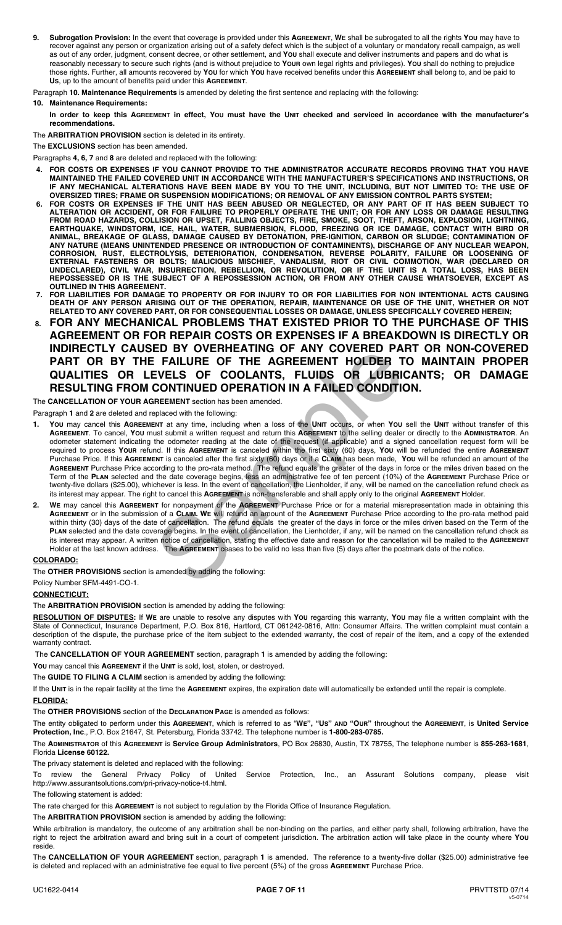**9. Subrogation Provision:** In the event that coverage is provided under this **AGREEMENT**, **WE** shall be subrogated to all the rights **YOU** may have to recover against any person or organization arising out of a safety defect which is the subject of a voluntary or mandatory recall campaign, as well as out of any order, judgment, consent decree, or other settlement, and **YOU** shall execute and deliver instruments and papers and do what is reasonably necessary to secure such rights (and is without prejudice to **YOUR** own legal rights and privileges). **YOU** shall do nothing to prejudice those rights. Further, all amounts recovered by **YOU** for which **YOU** have received benefits under this **AGREEMENT** shall belong to, and be paid to **US**, up to the amount of benefits paid under this **AGREEMENT**.

Paragraph **10. Maintenance Requirements** is amended by deleting the first sentence and replacing with the following:

### **10. Maintenance Requirements:**

 **In order to keep this AGREEMENT in effect, YOU must have the UNIT checked and serviced in accordance with the manufacturer's recommendations.** 

The **ARBITRATION PROVISION** section is deleted in its entirety.

The **EXCLUSIONS** section has been amended.

Paragraphs **4, 6, 7** and **8** are deleted and replaced with the following:

- **4. FOR COSTS OR EXPENSES IF YOU CANNOT PROVIDE TO THE ADMINISTRATOR ACCURATE RECORDS PROVING THAT YOU HAVE MAINTAINED THE FAILED COVERED UNIT IN ACCORDANCE WITH THE MANUFACTURER'S SPECIFICATIONS AND INSTRUCTIONS, OR IF ANY MECHANICAL ALTERATIONS HAVE BEEN MADE BY YOU TO THE UNIT, INCLUDING, BUT NOT LIMITED TO: THE USE OF OVERSIZED TIRES; FRAME OR SUSPENSION MODIFICATIONS; OR REMOVAL OF ANY EMISSION CONTROL PARTS SYSTEM;**
- **6. FOR COSTS OR EXPENSES IF THE UNIT HAS BEEN ABUSED OR NEGLECTED, OR ANY PART OF IT HAS BEEN SUBJECT TO ALTERATION OR ACCIDENT, OR FOR FAILURE TO PROPERLY OPERATE THE UNIT; OR FOR ANY LOSS OR DAMAGE RESULTING FROM ROAD HAZARDS, COLLISION OR UPSET, FALLING OBJECTS, FIRE, SMOKE, SOOT, THEFT, ARSON, EXPLOSION, LIGHTNING, EARTHQUAKE, WINDSTORM, ICE, HAIL, WATER, SUBMERSION, FLOOD, FREEZING OR ICE DAMAGE, CONTACT WITH BIRD OR ANIMAL, BREAKAGE OF GLASS, DAMAGE CAUSED BY DETONATION, PRE-IGNITION, CARBON OR SLUDGE; CONTAMINATION OF ANY NATURE (MEANS UNINTENDED PRESENCE OR INTRODUCTION OF CONTAMINENTS), DISCHARGE OF ANY NUCLEAR WEAPON, CORROSION, RUST, ELECTROLYSIS, DETERIORATION, CONDENSATION, REVERSE POLARITY, FAILURE OR LOOSENING OF EXTERNAL FASTENERS OR BOLTS; MALICIOUS MISCHIEF, VANDALISM, RIOT OR CIVIL COMMOTION, WAR (DECLARED OR UNDECLARED), CIVIL WAR, INSURRECTION, REBELLION, OR REVOLUTION, OR IF THE UNIT IS A TOTAL LOSS, HAS BEEN REPOSSESSED OR IS THE SUBJECT OF A REPOSSESSION ACTION, OR FROM ANY OTHER CAUSE WHATSOEVER, EXCEPT AS OUTLINED IN THIS AGREEMENT.**
- **7. FOR LIABILITIES FOR DAMAGE TO PROPERTY OR FOR INJURY TO OR FOR LIABILITIES FOR NON INTENTIONAL ACTS CAUSING DEATH OF ANY PERSON ARISING OUT OF THE OPERATION, REPAIR, MAINTENANCE OR USE OF THE UNIT, WHETHER OR NOT RELATED TO ANY COVERED PART, OR FOR CONSEQUENTIAL LOSSES OR DAMAGE, UNLESS SPECIFICALLY COVERED HEREIN;**
- **8. FOR ANY MECHANICAL PROBLEMS THAT EXISTED PRIOR TO THE PURCHASE OF THIS AGREEMENT OR FOR REPAIR COSTS OR EXPENSES IF A BREAKDOWN IS DIRECTLY OR INDIRECTLY CAUSED BY OVERHEATING OF ANY COVERED PART OR NON-COVERED PART OR BY THE FAILURE OF THE AGREEMENT HOLDER TO MAINTAIN PROPER QUALITIES OR LEVELS OF COOLANTS, FLUIDS OR LUBRICANTS; OR DAMAGE RESULTING FROM CONTINUED OPERATION IN A FAILED CONDITION.**

The **CANCELLATION OF YOUR AGREEMENT** section has been amended.

Paragraph **1** and **2** are deleted and replaced with the following:

- **1. YOU** may cancel this **AGREEMENT** at any time, including when a loss of the **UNIT** occurs, or when **YOU** sell the **UNIT** without transfer of this **AGREEMENT**. To cancel, **YOU** must submit a written request and return this **AGREEMENT** to the selling dealer or directly to the **ADMINISTRATOR**. An odometer statement indicating the odometer reading at the date of the request (if applicable) and a signed cancellation request form will be required to process **YOUR** refund. If this **AGREEMENT** is canceled within the first sixty (60) days, **YOU** will be refunded the entire **AGREEMENT** Purchase Price. If this **AGREEMENT** is canceled after the first sixty (60) days or if a **CLAIM** has been made, **YOU** will be refunded an amount of the **AGREEMENT** Purchase Price according to the pro-rata method. The refund equals the greater of the days in force or the miles driven based on the Term of the **PLAN** selected and the date coverage begins, less an administrative fee of ten percent (10%) of the **AGREEMENT** Purchase Price or twenty-five dollars (\$25.00), whichever is less. In the event of cancellation, the Lienholder, if any, will be named on the cancellation refund check as its interest may appear. The right to cancel this **AGREEMENT** is non-transferable and shall apply only to the original **AGREEMENT** Holder. ED BY OVERHEATING OF ANY COVERED PAIR<br>
FAILURE OF THE AGREEMENT HOLDER T<br>
FVELS OF COOLANTS, FLUIDS OR LUBRIC<br>
FUCURE CONTINUED OPERATION IN A FAILED CONDITION<br>
INTERMENT section has been amended.<br>
INTERMENT and the follow
- **2. WE** may cancel this **AGREEMENT** for nonpayment of the **AGREEMENT** Purchase Price or for a material misrepresentation made in obtaining this **AGREEMENT** or in the submission of a **CLAIM. WE** will refund an amount of the **AGREEMENT** Purchase Price according to the pro-rata method paid within thirty (30) days of the date of cancellation. The refund equals the greater of the days in force or the miles driven based on the Term of the **PLAN** selected and the date coverage begins. In the event of cancellation, the Lienholder, if any, will be named on the cancellation refund check as its interest may appear. A written notice of cancellation, stating the effective date and reason for the cancellation will be mailed to the **AGREEMENT** Holder at the last known address. The **AGREEMENT** ceases to be valid no less than five (5) days after the postmark date of the notice.

#### **COLORADO:**

The **OTHER PROVISIONS** section is amended by adding the following:

Policy Number SFM-4491-CO-1.

#### **CONNECTICUT:**

The **ARBITRATION PROVISION** section is amended by adding the following:

**RESOLUTION OF DISPUTES:** If **WE** are unable to resolve any disputes with **YOU** regarding this warranty, **YOU** may file a written complaint with the State of Connecticut, Insurance Department, P.O. Box 816, Hartford, CT 061242-0816, Attn: Consumer Affairs. The written complaint must contain a description of the dispute, the purchase price of the item subject to the extended warranty, the cost of repair of the item, and a copy of the extended warranty contract.

The **CANCELLATION OF YOUR AGREEMENT** section, paragraph **1** is amended by adding the following:

**YOU** may cancel this **AGREEMENT** if the **UNIT** is sold, lost, stolen, or destroyed.

The **GUIDE TO FILING A CLAIM** section is amended by adding the following:

If the **UNIT** is in the repair facility at the time the **AGREEMENT** expires, the expiration date will automatically be extended until the repair is complete.

## **FLORIDA:**

The **OTHER PROVISIONS** section of the **DECLARATION PAGE** is amended as follows:

The entity obligated to perform under this **AGREEMENT**, which is referred to as "**WE", "US" AND "OUR"** throughout the **AGREEMENT**, is **United Service Protection, Inc**., P.O. Box 21647, St. Petersburg, Florida 33742. The telephone number is **1-800-283-0785.**

The **ADMINISTRATOR** of this **AGREEMENT** is **Service Group Administrators**, PO Box 26830, Austin, TX 78755, The telephone number is **855-263-1681**, Florida **License 60122.** 

The privacy statement is deleted and replaced with the following:

To review the General Privacy Policy of United Service Protection, Inc., an Assurant Solutions company, please visit http://www.assurantsolutions.com/pri-privacy-notice-t4.html.

The following statement is added:

The rate charged for this **AGREEMENT** is not subject to regulation by the Florida Office of Insurance Regulation.

The **ARBITRATION PROVISION** section is amended by adding the following:

While arbitration is mandatory, the outcome of any arbitration shall be non-binding on the parties, and either party shall, following arbitration, have the right to reject the arbitration award and bring suit in a court of competent jurisdiction. The arbitration action will take place in the county where **YOU** reside.

The **CANCELLATION OF YOUR AGREEMENT** section, paragraph **1** is amended. The reference to a twenty-five dollar (\$25.00) administrative fee is deleted and replaced with an administrative fee equal to five percent (5%) of the gross **AGREEMENT** Purchase Price.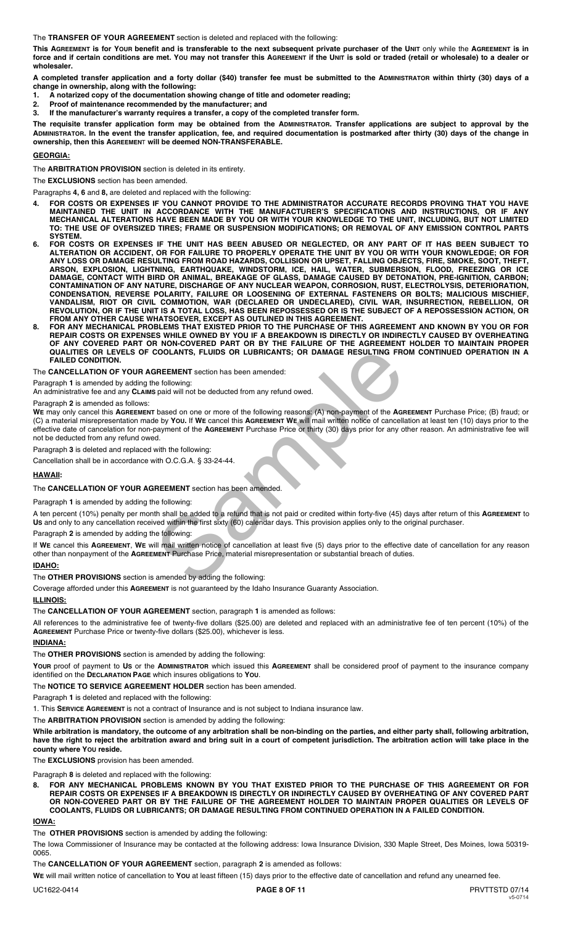The **TRANSFER OF YOUR AGREEMENT** section is deleted and replaced with the following:

**This AGREEMENT is for YOUR benefit and is transferable to the next subsequent private purchaser of the UNIT** only while the **AGREEMENT is in force and if certain conditions are met. YOU may not transfer this AGREEMENT if the UNIT is sold or traded (retail or wholesale) to a dealer or wholesaler.** 

**A completed transfer application and a forty dollar (\$40) transfer fee must be submitted to the ADMINISTRATOR within thirty (30) days of a change in ownership, along with the following:** 

- **1. A notarized copy of the documentation showing change of title and odometer reading;**
- **2. Proof of maintenance recommended by the manufacturer; and**
- **3. If the manufacturer's warranty requires a transfer, a copy of the completed transfer form.**

**The requisite transfer application form may be obtained from the ADMINISTRATOR. Transfer applications are subject to approval by the ADMINISTRATOR. In the event the transfer application, fee, and required documentation is postmarked after thirty (30) days of the change in ownership, then this AGREEMEN**T **will be deemed NON-TRANSFERABLE.** 

## **GEORGIA:**

The **ARBITRATION PROVISION** section is deleted in its entirety.

The **EXCLUSIONS** section has been amended.

Paragraphs **4, 6** and **8,** are deleted and replaced with the following:

- **4. FOR COSTS OR EXPENSES IF YOU CANNOT PROVIDE TO THE ADMINISTRATOR ACCURATE RECORDS PROVING THAT YOU HAVE MAINTAINED THE UNIT IN ACCORDANCE WITH THE MANUFACTURER'S SPECIFICATIONS AND INSTRUCTIONS, OR IF ANY MECHANICAL ALTERATIONS HAVE BEEN MADE BY YOU OR WITH YOUR KNOWLEDGE TO THE UNIT, INCLUDING, BUT NOT LIMITED TO: THE USE OF OVERSIZED TIRES; FRAME OR SUSPENSION MODIFICATIONS; OR REMOVAL OF ANY EMISSION CONTROL PARTS SYSTEM.**
- **6. FOR COSTS OR EXPENSES IF THE UNIT HAS BEEN ABUSED OR NEGLECTED, OR ANY PART OF IT HAS BEEN SUBJECT TO ALTERATION OR ACCIDENT, OR FOR FAILURE TO PROPERLY OPERATE THE UNIT BY YOU OR WITH YOUR KNOWLEDGE; OR FOR ANY LOSS OR DAMAGE RESULTING FROM ROAD HAZARDS, COLLISION OR UPSET, FALLING OBJECTS, FIRE, SMOKE, SOOT, THEFT, ARSON, EXPLOSION, LIGHTNING, EARTHQUAKE, WINDSTORM, ICE, HAIL, WATER, SUBMERSION, FLOOD, FREEZING OR ICE DAMAGE, CONTACT WITH BIRD OR ANIMAL, BREAKAGE OF GLASS, DAMAGE CAUSED BY DETONATION, PRE-IGNITION, CARBON; CONTAMINATION OF ANY NATURE, DISCHARGE OF ANY NUCLEAR WEAPON, CORROSION, RUST, ELECTROLYSIS, DETERIORATION, CONDENSATION, REVERSE POLARITY, FAILURE OR LOOSENING OF EXTERNAL FASTENERS OR BOLTS; MALICIOUS MISCHIEF, VANDALISM, RIOT OR CIVIL COMMOTION, WAR (DECLARED OR UNDECLARED), CIVIL WAR, INSURRECTION, REBELLION, OR REVOLUTION, OR IF THE UNIT IS A TOTAL LOSS, HAS BEEN REPOSSESSED OR IS THE SUBJECT OF A REPOSSESSION ACTION, OR FROM ANY OTHER CAUSE WHATSOEVER, EXCEPT AS OUTLINED IN THIS AGREEMENT.**
- **8. FOR ANY MECHANICAL PROBLEMS THAT EXISTED PRIOR TO THE PURCHASE OF THIS AGREEMENT AND KNOWN BY YOU OR FOR REPAIR COSTS OR EXPENSES WHILE OWNED BY YOU IF A BREAKDOWN IS DIRECTLY OR INDIRECTLY CAUSED BY OVERHEATING OF ANY COVERED PART OR NON-COVERED PART OR BY THE FAILURE OF THE AGREEMENT HOLDER TO MAINTAIN PROPER QUALITIES OR LEVELS OF COOLANTS, FLUIDS OR LUBRICANTS; OR DAMAGE RESULTING FROM CONTINUED OPERATION IN A FAILED CONDITION.**

The **CANCELLATION OF YOUR AGREEMENT** section has been amended:

Paragraph **1** is amended by adding the following:

An administrative fee and any **CLAIMS** paid will not be deducted from any refund owed.

#### Paragraph **2** is amended as follows:

**WE** may only cancel this **AGREEMENT** based on one or more of the following reasons: (A) non-payment of the **AGREEMENT** Purchase Price; (B) fraud; or (C) a material misrepresentation made by **YOU.** If **WE** cancel this **AGREEMENT WE** will mail written notice of cancellation at least ten (10) days prior to the effective date of cancelation for non-payment of the **AGREEMENT** Purchase Price or thirty (30) days prior for any other reason. An administrative fee will not be deducted from any refund owed. COOLANTS, FLUIDS OR LUBRICANTS; OR DAMAGE RESULTING FROM COOLANTS, FLUIDS OR LUBRICANTS; OR DAMAGE RESULTING FROM SHE CONTO ARE CONTINUES.<br>
The following:<br>
The following:<br>
The following of the following reasons (A) non-pay

Paragraph **3** is deleted and replaced with the following:

Cancellation shall be in accordance with O.C.G.A. § 33-24-44.

#### **HAWAII:**

## The **CANCELLATION OF YOUR AGREEMENT** section has been amended.

Paragraph **1** is amended by adding the following:

A ten percent (10%) penalty per month shall be added to a refund that is not paid or credited within forty-five (45) days after return of this **AGREEMENT** to **US** and only to any cancellation received within the first sixty (60) calendar days. This provision applies only to the original purchaser.

Paragraph **2** is amended by adding the following:

If **WE** cancel this **AGREEMENT**, **WE** will mail written notice of cancellation at least five (5) days prior to the effective date of cancellation for any reason other than nonpayment of the **AGREEMENT** Purchase Price, material misrepresentation or substantial breach of duties.

#### **IDAHO:**

The **OTHER PROVISIONS** section is amended by adding the following:

Coverage afforded under this **AGREEMENT** is not guaranteed by the Idaho Insurance Guaranty Association.

#### **ILLINOIS:**

The **CANCELLATION OF YOUR AGREEMENT** section, paragraph **1** is amended as follows:

All references to the administrative fee of twenty-five dollars (\$25.00) are deleted and replaced with an administrative fee of ten percent (10%) of the **AGREEMENT** Purchase Price or twenty-five dollars (\$25.00), whichever is less.

#### **INDIANA:**

The **OTHER PROVISIONS** section is amended by adding the following:

**YOUR** proof of payment to **US** or the **ADMINISTRATOR** which issued this **AGREEMENT** shall be considered proof of payment to the insurance company identified on the **DECLARATION PAGE** which insures obligations to **YOU**.

The **NOTICE TO SERVICE AGREEMENT HOLDER** section has been amended.

Paragraph **1** is deleted and replaced with the following:

1. This **SERVICE AGREEMENT** is not a contract of Insurance and is not subject to Indiana insurance law.

The **ARBITRATION PROVISION** section is amended by adding the following:

**While arbitration is mandatory, the outcome of any arbitration shall be non-binding on the parties, and either party shall, following arbitration, have the right to reject the arbitration award and bring suit in a court of competent jurisdiction. The arbitration action will take place in the county where YOU reside.** 

The **EXCLUSIONS** provision has been amended.

Paragraph **8** is deleted and replaced with the following:

**8. FOR ANY MECHANICAL PROBLEMS KNOWN BY YOU THAT EXISTED PRIOR TO THE PURCHASE OF THIS AGREEMENT OR FOR REPAIR COSTS OR EXPENSES IF A BREAKDOWN IS DIRECTLY OR INDIRECTLY CAUSED BY OVERHEATING OF ANY COVERED PART OR NON-COVERED PART OR BY THE FAILURE OF THE AGREEMENT HOLDER TO MAINTAIN PROPER QUALITIES OR LEVELS OF COOLANTS, FLUIDS OR LUBRICANTS; OR DAMAGE RESULTING FROM CONTINUED OPERATION IN A FAILED CONDITION.** 

## **IOWA:**

The **OTHER PROVISIONS** section is amended by adding the following:

The Iowa Commissioner of Insurance may be contacted at the following address: Iowa Insurance Division, 330 Maple Street, Des Moines, Iowa 50319- 0065.

#### The **CANCELLATION OF YOUR AGREEMENT** section, paragraph **2** is amended as follows:

**WE** will mail written notice of cancellation to **YOU** at least fifteen (15) days prior to the effective date of cancellation and refund any unearned fee.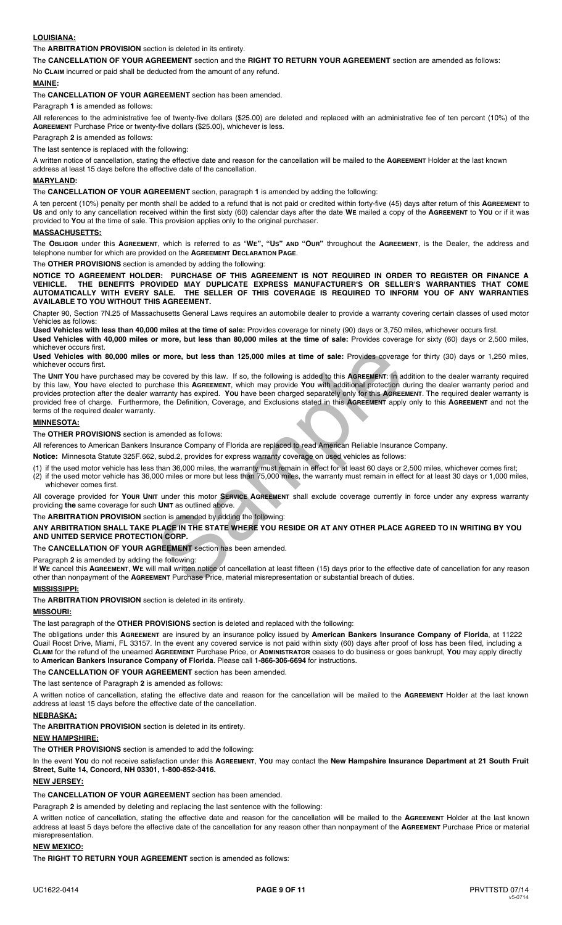## **LOUISIANA:**

The **ARBITRATION PROVISION** section is deleted in its entirety.

The **CANCELLATION OF YOUR AGREEMENT** section and the **RIGHT TO RETURN YOUR AGREEMENT** section are amended as follows: No **CLAIM** incurred or paid shall be deducted from the amount of any refund*.*

## **MAINE:**

The **CANCELLATION OF YOUR AGREEMENT** section has been amended.

Paragraph **1** is amended as follows:

All references to the administrative fee of twenty-five dollars (\$25.00) are deleted and replaced with an administrative fee of ten percent (10%) of the **AGREEMENT** Purchase Price or twenty-five dollars (\$25.00), whichever is less.

Paragraph **2** is amended as follows:

The last sentence is replaced with the following:

A written notice of cancellation, stating the effective date and reason for the cancellation will be mailed to the **AGREEMENT** Holder at the last known address at least 15 days before the effective date of the cancellation.

## **MARYLAND:**

The **CANCELLATION OF YOUR AGREEMENT** section, paragraph **1** is amended by adding the following:

A ten percent (10%) penalty per month shall be added to a refund that is not paid or credited within forty-five (45) days after return of this **AGREEMENT** to **US** and only to any cancellation received within the first sixty (60) calendar days after the date **WE** mailed a copy of the **AGREEMENT** to **YOU** or if it was provided to **YOU** at the time of sale. This provision applies only to the original purchaser.

## **MASSACHUSETTS:**

The **OBLIGOR** under this **AGREEMENT**, which is referred to as "**WE", "US" AND "OUR"** throughout the **AGREEMENT**, is the Dealer, the address and telephone number for which are provided on the **AGREEMENT DECLARATION PAGE**.

#### The **OTHER PROVISIONS** section is amended by adding the following:

**NOTICE TO AGREEMENT HOLDER: PURCHASE OF THIS AGREEMENT IS NOT REQUIRED IN ORDER TO REGISTER OR FINANCE A VEHICLE. THE BENEFITS PROVIDED MAY DUPLICATE EXPRESS MANUFACTURER'S OR SELLER'S WARRANTIES THAT COME AUTOMATICALLY WITH EVERY SALE. THE SELLER OF THIS COVERAGE IS REQUIRED TO INFORM YOU OF ANY WARRANTIES AVAILABLE TO YOU WITHOUT THIS AGREEMENT.** 

Chapter 90, Section 7N.25 of Massachusetts General Laws requires an automobile dealer to provide a warranty covering certain classes of used motor Vehicles as follows:

**Used Vehicles with less than 40,000 miles at the time of sale:** Provides coverage for ninety (90) days or 3,750 miles, whichever occurs first.

**Used Vehicles with 40,000 miles or more, but less than 80,000 miles at the time of sale:** Provides coverage for sixty (60) days or 2,500 miles, whichever occurs first.

**Used Vehicles with 80,000 miles or more, but less than 125,000 miles at time of sale:** Provides coverage for thirty (30) days or 1,250 miles, whichever occurs first.

The **UNIT YOU** have purchased may be covered by this law. If so, the following is added to this **AGREEMENT**: In addition to the dealer warranty required by this law, **YOU** have elected to purchase this **AGREEMENT**, which may provide **YOU** with additional protection during the dealer warranty period and provides protection after the dealer warranty has expired. **YOU** have been charged separately only for this **AGREEMENT**. The required dealer warranty is provided free of charge. Furthermore, the Definition, Coverage, and Exclusions stated in this **AGREEMENT** apply only to this **AGREEMENT** and not the terms of the required dealer warranty. or more, but less than 125,000 miles at time of sale: Provides coverage<br>be covered by this law. If so, the following is added to this AGREEMENT: In a<br>crchase this AGREEMENT, which may provide You with additional protection

### **MINNESOTA:**

The **OTHER PROVISIONS** section is amended as follows:

All references to American Bankers Insurance Company of Florida are replaced to read American Reliable Insurance Company.

**Notice:** Minnesota Statute 325F.662, subd.2, provides for express warranty coverage on used vehicles as follows:

(1) if the used motor vehicle has less than 36,000 miles, the warranty must remain in effect for at least 60 days or 2,500 miles, whichever comes first;

(2) if the used motor vehicle has 36,000 miles or more but less than 75,000 miles, the warranty must remain in effect for at least 30 days or 1,000 miles, whichever comes first.

All coverage provided for **YOUR UNIT** under this motor **SERVICE AGREEMENT** shall exclude coverage currently in force under any express warranty providing **the** same coverage for such **UNIT** as outlined above.

The **ARBITRATION PROVISION** section is amended by adding the following:

**ANY ARBITRATION SHALL TAKE PLACE IN THE STATE WHERE YOU RESIDE OR AT ANY OTHER PLACE AGREED TO IN WRITING BY YOU AND UNITED SERVICE PROTECTION CORP.**

The **CANCELLATION OF YOUR AGREEMENT** section has been amended.

Paragraph **2** is amended by adding the following:

If **WE** cancel this **AGREEMENT**, **WE** will mail written notice of cancellation at least fifteen (15) days prior to the effective date of cancellation for any reason other than nonpayment of the **AGREEMENT** Purchase Price, material misrepresentation or substantial breach of duties.

### **MISSISSIPPI:**

The **ARBITRATION PROVISION** section is deleted in its entirety.

#### **MISSOURI:**

The last paragraph of the **OTHER PROVISIONS** section is deleted and replaced with the following:

The obligations under this **AGREEMENT** are insured by an insurance policy issued by **American Bankers Insurance Company of Florida**, at 11222 Quail Roost Drive, Miami, FL 33157. In the event any covered service is not paid within sixty (60) days after proof of loss has been filed, including a **CLAIM** for the refund of the unearned **AGREEMENT** Purchase Price, or **ADMINISTRATOR** ceases to do business or goes bankrupt, **YOU** may apply directly to **American Bankers Insurance Company of Florida**. Please call **1-866-306-6694** for instructions.

## The **CANCELLATION OF YOUR AGREEMENT** section has been amended.

The last sentence of Paragraph **2** is amended as follows:

A written notice of cancellation, stating the effective date and reason for the cancellation will be mailed to the **AGREEMENT** Holder at the last known address at least 15 days before the effective date of the cancellation.

## **NEBRASKA:**

The **ARBITRATION PROVISION** section is deleted in its entirety.

#### **NEW HAMPSHIRE:**

The **OTHER PROVISIONS** section is amended to add the following:

In the event **YOU** do not receive satisfaction under this **AGREEMENT**, **YOU** may contact the **New Hampshire Insurance Department at 21 South Fruit Street, Suite 14, Concord, NH 03301, 1-800-852-3416.**

#### **NEW JERSEY:**

The **CANCELLATION OF YOUR AGREEMENT** section has been amended.

Paragraph **2** is amended by deleting and replacing the last sentence with the following:

A written notice of cancellation, stating the effective date and reason for the cancellation will be mailed to the **AGREEMENT** Holder at the last known address at least 5 days before the effective date of the cancellation for any reason other than nonpayment of the **AGREEMENT** Purchase Price or material misrepresentation.

#### **NEW MEXICO:**

The **RIGHT TO RETURN YOUR AGREEMENT** section is amended as follows: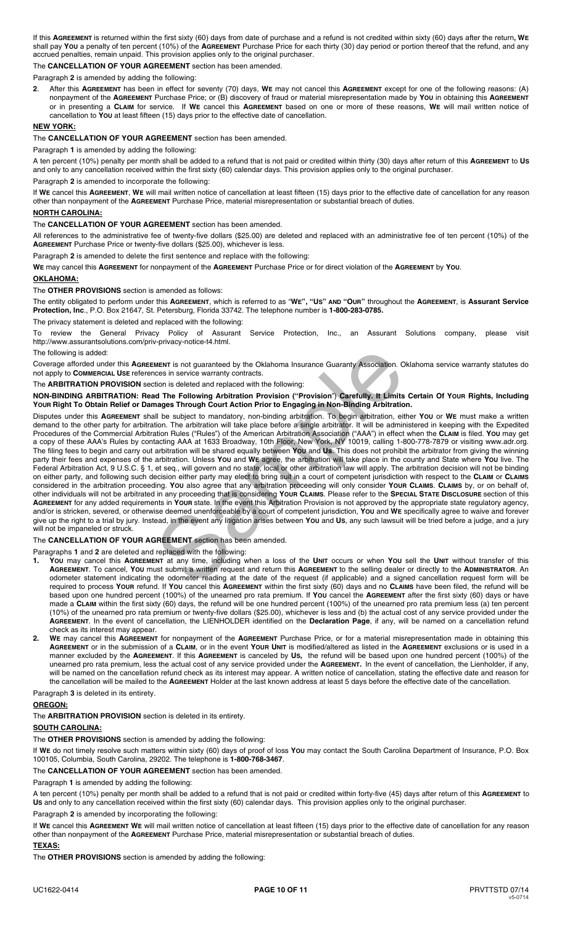If this **AGREEMENT** is returned within the first sixty (60) days from date of purchase and a refund is not credited within sixty (60) days after the return**, WE** shall pay You a penalty of ten percent (10%) of the AGREEMENT Purchase Price for each thirty (30) day period or portion thereof that the refund, and any accrued penalties, remain unpaid. This provision applies only to the original purchaser.

# The **CANCELLATION OF YOUR AGREEMENT** section has been amended.

Paragraph **2** is amended by adding the following:

**2**. After this **AGREEMENT** has been in effect for seventy (70) days, **WE** may not cancel this **AGREEMENT** except for one of the following reasons: (A) nonpayment of the **AGREEMENT** Purchase Price; or (B) discovery of fraud or material misrepresentation made by **YOU** in obtaining this **AGREEMENT** or in presenting a **CLAIM** for service. If **WE** cancel this **AGREEMENT** based on one or more of these reasons, **WE** will mail written notice of cancellation to **YOU** at least fifteen (15) days prior to the effective date of cancellation.

### **NEW YORK:**

The **CANCELLATION OF YOUR AGREEMENT** section has been amended.

Paragraph **1** is amended by adding the following:

A ten percent (10%) penalty per month shall be added to a refund that is not paid or credited within thirty (30) days after return of this **AGREEMENT** to **US** and only to any cancellation received within the first sixty (60) calendar days. This provision applies only to the original purchaser.

Paragraph **2** is amended to incorporate the following:

If **WE** cancel this **AGREEMENT**, **WE** will mail written notice of cancellation at least fifteen (15) days prior to the effective date of cancellation for any reason other than nonpayment of the **AGREEMENT** Purchase Price, material misrepresentation or substantial breach of duties.

## **NORTH CAROLINA:**

#### The **CANCELLATION OF YOUR AGREEMENT** section has been amended.

All references to the administrative fee of twenty-five dollars (\$25.00) are deleted and replaced with an administrative fee of ten percent (10%) of the **AGREEMENT** Purchase Price or twenty-five dollars (\$25.00), whichever is less.

Paragraph **2** is amended to delete the first sentence and replace with the following:

**WE** may cancel this **AGREEMENT** for nonpayment of the **AGREEMENT** Purchase Price or for direct violation of the **AGREEMENT** by **YOU**.

## **OKLAHOMA:**

The **OTHER PROVISIONS** section is amended as follows:

The entity obligated to perform under this **AGREEMENT**, which is referred to as "**WE", "US" AND "OUR"** throughout the **AGREEMENT**, is **Assurant Service Protection, Inc**., P.O. Box 21647, St. Petersburg, Florida 33742. The telephone number is **1-800-283-0785.**

The privacy statement is deleted and replaced with the following:

To review the General Privacy Policy of Assurant Service Protection, Inc., an Assurant Solutions company, please visit http://www.assurantsolutions.com/priv-privacy-notice-t4.html.

## The following is added:

Coverage afforded under this **AGREEMENT** is not guaranteed by the Oklahoma Insurance Guaranty Association. Oklahoma service warranty statutes do not apply to **COMMERCIAL USE** references in service warranty contracts.

The **ARBITRATION PROVISION** section is deleted and replaced with the following:

**NON-BINDING ARBITRATION: Read The Following Arbitration Provision ("Provision**") **Carefully. It Limits Certain Of YOUR Rights, Including YOUR Right To Obtain Relief or Damages Through Court Action Prior to Engaging in Non-Binding Arbitration.** 

Disputes under this **AGREEMENT** shall be subject to mandatory, non-binding arbitration. To begin arbitration, either **YOU** or **WE** must make a written demand to the other party for arbitration. The arbitration will take place before a single arbitrator. It will be administered in keeping with the Expedited Procedures of the Commercial Arbitration Rules ("Rules") of the American Arbitration Association ("AAA") in effect when the **CLAIM** is filed. **YOU** may get a copy of these AAA's Rules by contacting AAA at 1633 Broadway, 10th Floor, New York, NY 10019, calling 1-800-778-7879 or visiting www.adr.org. The filing fees to begin and carry out arbitration will be shared equally between **YOU** and **Us**. This does not prohibit the arbitrator from giving the winning party their fees and expenses of the arbitration. Unless **YOU** and **WE** agree, the arbitration will take place in the county and State where **YOU** live. The Federal Arbitration Act, 9 U.S.C. § 1, et seq., will govern and no state, local or other arbitration law will apply. The arbitration decision will not be binding on either party, and following such decision either party may elect to bring suit in a court of competent jurisdiction with respect to the **CLAIM** or **CLAIMS** considered in the arbitration proceeding. **YOU** also agree that any arbitration proceeding will only consider **YOUR CLAIMS**. **CLAIMS** by, or on behalf of, other individuals will not be arbitrated in any proceeding that is considering **YOUR CLAIMS**. Please refer to the **SPECIAL STATE DISCLOSURE** section of this **AGREEMENT** for any added requirements in **YOUR** state. In the event this Arbitration Provision is not approved by the appropriate state regulatory agency, and/or is stricken, severed, or otherwise deemed unenforceable by a court of competent jurisdiction, **YOU** and **WE** specifically agree to waive and forever give up the right to a trial by jury. Instead, in the event any litigation arises between **YOU** and **US**, any such lawsuit will be tried before a judge, and a jury will not be impaneled or struck. MENT is not guaranteed by the Oklahoma Insurance Guaranty Association. O<br>nces in service warranty contracts.<br>tion is deleted and replaced with the following:<br>**In The Following Arbitration Provision** ("**Provision**") **Carefu** 

# The **CANCELLATION OF YOUR AGREEMENT** section has been amended.

Paragraphs **1** and **2** are deleted and replaced with the following:

- **1. YOU** may cancel this **AGREEMENT** at any time, including when a loss of the **UNIT** occurs or when **YOU** sell the **UNIT** without transfer of this **AGREEMENT**. To cancel, **YOU** must submit a written request and return this **AGREEMENT** to the selling dealer or directly to the **ADMINISTRATOR**. An odometer statement indicating the odometer reading at the date of the request (if applicable) and a signed cancellation request form will be required to process **YOUR** refund. If **YOU** cancel this **AGREEMENT** within the first sixty (60) days and no **CLAIMS** have been filed, the refund will be based upon one hundred percent (100%) of the unearned pro rata premium. If **YOU** cancel the **AGREEMENT** after the first sixty (60) days or have made a **CLAIM** within the first sixty (60) days, the refund will be one hundred percent (100%) of the unearned pro rata premium less (a) ten percent (10%) of the unearned pro rata premium or twenty-five dollars (\$25.00), whichever is less and (b) the actual cost of any service provided under the **AGREEMENT**. In the event of cancellation, the LIENHOLDER identified on the **Declaration Page**, if any, will be named on a cancellation refund check as its interest may appear.
- **2. WE** may cancel this **AGREEMENT** for nonpayment of the **AGREEMENT** Purchase Price, or for a material misrepresentation made in obtaining this **AGREEMENT** or in the submission of a **CLAIM**, or in the event **YOUR UNIT** is modified/altered as listed in the **AGREEMENT** exclusions or is used in a manner excluded by the **AGREEMENT**. If this **AGREEMENT** is canceled by **US,** the refund will be based upon one hundred percent (100%) of the unearned pro rata premium, less the actual cost of any service provided under the **AGREEMENT.** In the event of cancellation, the Lienholder, if any, will be named on the cancellation refund check as its interest may appear. A written notice of cancellation, stating the effective date and reason for the cancellation will be mailed to the **AGREEMENT** Holder at the last known address at least 5 days before the effective date of the cancellation.

Paragraph **3** is deleted in its entirety.

# **OREGON:**

The **ARBITRATION PROVISION** section is deleted in its entirety.

# **SOUTH CAROLINA:**

The **OTHER PROVISIONS** section is amended by adding the following:

If **WE** do not timely resolve such matters within sixty (60) days of proof of loss **YOU** may contact the South Carolina Department of Insurance, P.O. Box 100105, Columbia, South Carolina, 29202. The telephone is **1-800-768-3467**.

The **CANCELLATION OF YOUR AGREEMENT** section has been amended.

# Paragraph **1** is amended by adding the following:

A ten percent (10%) penalty per month shall be added to a refund that is not paid or credited within forty-five (45) days after return of this **AGREEMENT** to **US** and only to any cancellation received within the first sixty (60) calendar days. This provision applies only to the original purchaser.

Paragraph **2** is amended by incorporating the following:

If **WE** cancel this **AGREEMENT WE** will mail written notice of cancellation at least fifteen (15) days prior to the effective date of cancellation for any reason other than nonpayment of the **AGREEMENT** Purchase Price, material misrepresentation or substantial breach of duties.

## **TEXAS:**

The **OTHER PROVISIONS** section is amended by adding the following: